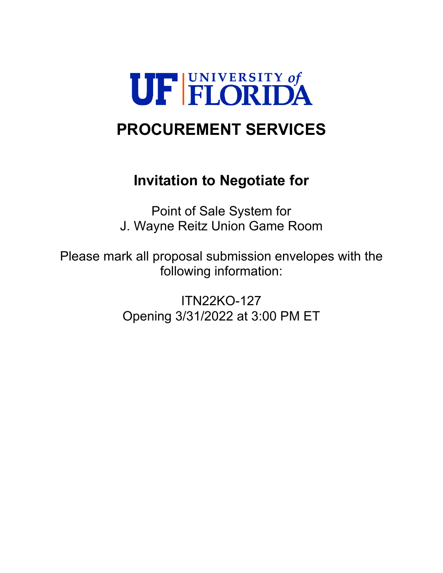

# **PROCUREMENT SERVICES**

# **Invitation to Negotiate for**

Point of Sale System for J. Wayne Reitz Union Game Room

Please mark all proposal submission envelopes with the following information:

> ITN22KO-127 Opening 3/31/2022 at 3:00 PM ET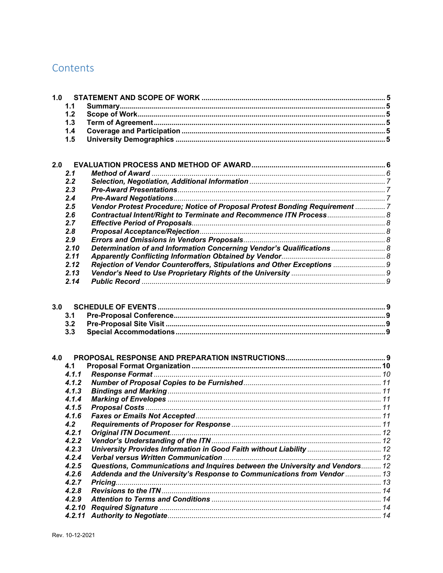# Contents

| 1.0 | 1.1<br>1.2<br>1.3<br>1.4<br>1.5 |                                                                              |  |
|-----|---------------------------------|------------------------------------------------------------------------------|--|
| 2.0 |                                 |                                                                              |  |
|     | 2.1                             |                                                                              |  |
|     | 2.2                             |                                                                              |  |
|     | 2.3                             |                                                                              |  |
|     | 2.4                             |                                                                              |  |
|     | 2.5                             | Vendor Protest Procedure; Notice of Proposal Protest Bonding Requirement  7  |  |
|     | 2.6                             |                                                                              |  |
|     | 2.7                             |                                                                              |  |
|     | 2.8                             |                                                                              |  |
|     | 2.9                             |                                                                              |  |
|     | 2.10                            | Determination of and Information Concerning Vendor's Qualifications  8       |  |
|     | 2.11                            |                                                                              |  |
|     | 2.12                            | Rejection of Vendor Counteroffers, Stipulations and Other Exceptions  9      |  |
|     | 2.13                            |                                                                              |  |
|     | 2.14                            |                                                                              |  |
| 3.0 |                                 |                                                                              |  |
|     | 3.1                             |                                                                              |  |
|     | 3.2                             |                                                                              |  |
|     | 3.3                             |                                                                              |  |
| 4.0 |                                 |                                                                              |  |
|     | 4.1                             |                                                                              |  |
|     | 4.1.1                           |                                                                              |  |
|     | 4.1.2                           |                                                                              |  |
|     | 4.1.3                           |                                                                              |  |
|     | 4.1.4                           |                                                                              |  |
|     | 4.1.5                           |                                                                              |  |
|     | 4.1.6                           |                                                                              |  |
|     | 4.2                             |                                                                              |  |
|     | 4.2.1                           |                                                                              |  |
|     | 4.2.2                           |                                                                              |  |
|     | 4.2.3                           |                                                                              |  |
|     | 4.2.4                           |                                                                              |  |
|     | 4.2.5                           | Questions, Communications and Inquires between the University and Vendors 12 |  |
|     | 4.2.6                           | Addenda and the University's Response to Communications from Vendor  13      |  |
|     | 4.2.7                           |                                                                              |  |
|     | 4.2.8                           |                                                                              |  |
|     | 4.2.9                           |                                                                              |  |
|     | 4.2.10                          |                                                                              |  |
|     | 4.2.11                          |                                                                              |  |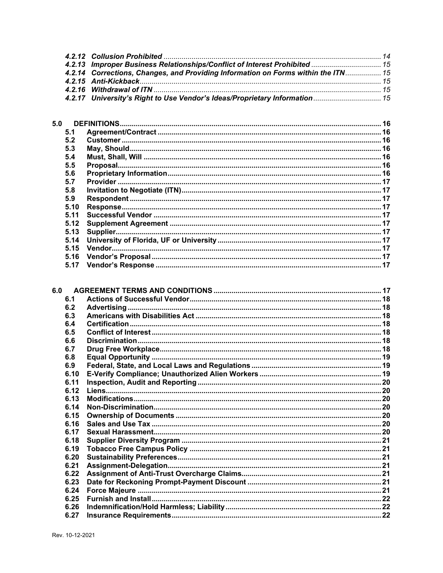| 4.2.13 Improper Business Relationships/Conflict of Interest Prohibited  15        |  |
|-----------------------------------------------------------------------------------|--|
| 4.2.14 Corrections, Changes, and Providing Information on Forms within the ITN 15 |  |
|                                                                                   |  |
|                                                                                   |  |
| 4.2.17 University's Right to Use Vendor's Ideas/Proprietary Information 15        |  |
|                                                                                   |  |

| 5.0  |  |
|------|--|
| 5.1  |  |
| 5.2  |  |
| 5.3  |  |
| 5.4  |  |
| 5.5  |  |
| 5.6  |  |
| 5.7  |  |
| 5.8  |  |
| 5.9  |  |
| 5.10 |  |
| 5.11 |  |
| 5.12 |  |
| 5.13 |  |
| 5.14 |  |
| 5.15 |  |
| 5.16 |  |
| 5.17 |  |

| 6.0 |      |  |
|-----|------|--|
|     | 6.1  |  |
|     | 6.2  |  |
|     | 6.3  |  |
|     | 6.4  |  |
|     | 6.5  |  |
|     | 6.6  |  |
|     | 6.7  |  |
|     | 6.8  |  |
|     | 6.9  |  |
|     | 6.10 |  |
|     | 6.11 |  |
|     | 6.12 |  |
|     | 6.13 |  |
|     | 6.14 |  |
|     | 6.15 |  |
|     | 6.16 |  |
|     | 6.17 |  |
|     | 6.18 |  |
|     | 6.19 |  |
|     | 6.20 |  |
|     | 6.21 |  |
|     | 6.22 |  |
|     | 6.23 |  |
|     | 6.24 |  |
|     | 6.25 |  |
|     | 6.26 |  |
|     | 6.27 |  |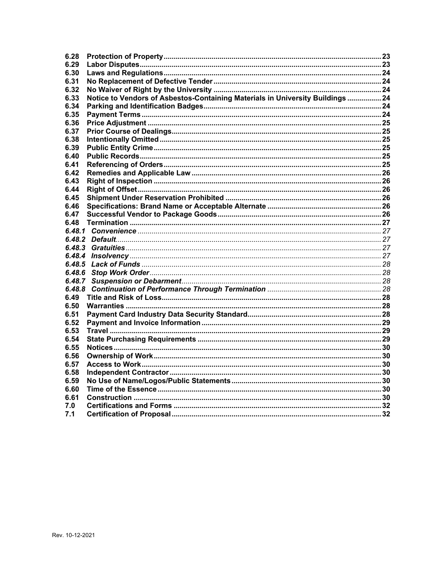| 6.28   |                                                                                |  |
|--------|--------------------------------------------------------------------------------|--|
| 6.29   |                                                                                |  |
| 6.30   |                                                                                |  |
| 6.31   |                                                                                |  |
| 6.32   |                                                                                |  |
| 6.33   | Notice to Vendors of Asbestos-Containing Materials in University Buildings  24 |  |
| 6.34   |                                                                                |  |
| 6.35   |                                                                                |  |
| 6.36   |                                                                                |  |
| 6.37   |                                                                                |  |
| 6.38   |                                                                                |  |
| 6.39   |                                                                                |  |
| 6.40   |                                                                                |  |
| 6.41   |                                                                                |  |
| 6.42   |                                                                                |  |
| 6.43   |                                                                                |  |
| 6.44   |                                                                                |  |
| 6.45   |                                                                                |  |
| 6.46   |                                                                                |  |
| 6.47   |                                                                                |  |
| 6.48   |                                                                                |  |
|        |                                                                                |  |
|        |                                                                                |  |
| 6.48.3 |                                                                                |  |
|        |                                                                                |  |
|        |                                                                                |  |
| 6.48.6 |                                                                                |  |
|        |                                                                                |  |
|        |                                                                                |  |
| 6.49   |                                                                                |  |
| 6.50   |                                                                                |  |
| 6.51   |                                                                                |  |
| 6.52   |                                                                                |  |
| 6.53   |                                                                                |  |
| 6.54   |                                                                                |  |
| 6.55   |                                                                                |  |
| 6.56   |                                                                                |  |
| 6.57   |                                                                                |  |
| 6.58   |                                                                                |  |
| 6.59   |                                                                                |  |
| 6.60   |                                                                                |  |
| 6.61   |                                                                                |  |
| 7.0    |                                                                                |  |
| 7.1    |                                                                                |  |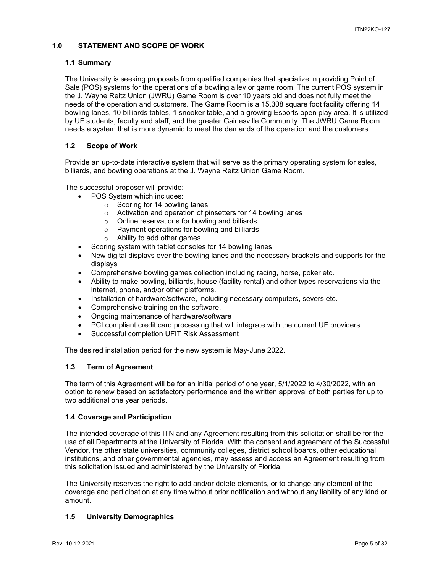# <span id="page-4-0"></span>**1.0 STATEMENT AND SCOPE OF WORK**

#### <span id="page-4-1"></span>**1.1 Summary**

The University is seeking proposals from qualified companies that specialize in providing Point of Sale (POS) systems for the operations of a bowling alley or game room. The current POS system in the J. Wayne Reitz Union (JWRU) Game Room is over 10 years old and does not fully meet the needs of the operation and customers. The Game Room is a 15,308 square foot facility offering 14 bowling lanes, 10 billiards tables, 1 snooker table, and a growing Esports open play area. It is utilized by UF students, faculty and staff, and the greater Gainesville Community. The JWRU Game Room needs a system that is more dynamic to meet the demands of the operation and the customers.

# <span id="page-4-2"></span>**1.2 Scope of Work**

Provide an up-to-date interactive system that will serve as the primary operating system for sales, billiards, and bowling operations at the J. Wayne Reitz Union Game Room.

The successful proposer will provide:

- POS System which includes:
	- $\circ$  Scoring for 14 bowling lanes
	- o Activation and operation of pinsetters for 14 bowling lanes
	- o Online reservations for bowling and billiards
	- o Payment operations for bowling and billiards
	- o Ability to add other games.
- Scoring system with tablet consoles for 14 bowling lanes<br>• New digital displays over the bowling lanes and the neces
- New digital displays over the bowling lanes and the necessary brackets and supports for the displays
- Comprehensive bowling games collection including racing, horse, poker etc.
- Ability to make bowling, billiards, house (facility rental) and other types reservations via the internet, phone, and/or other platforms.
- Installation of hardware/software, including necessary computers, severs etc.
- Comprehensive training on the software.
- Ongoing maintenance of hardware/software
- PCI compliant credit card processing that will integrate with the current UF providers
- Successful completion UFIT Risk Assessment

The desired installation period for the new system is May-June 2022.

#### <span id="page-4-3"></span>**1.3 Term of Agreement**

The term of this Agreement will be for an initial period of one year, 5/1/2022 to 4/30/2022, with an option to renew based on satisfactory performance and the written approval of both parties for up to two additional one year periods.

#### <span id="page-4-4"></span>**1.4 Coverage and Participation**

The intended coverage of this ITN and any Agreement resulting from this solicitation shall be for the use of all Departments at the University of Florida. With the consent and agreement of the Successful Vendor, the other state universities, community colleges, district school boards, other educational institutions, and other governmental agencies, may assess and access an Agreement resulting from this solicitation issued and administered by the University of Florida.

The University reserves the right to add and/or delete elements, or to change any element of the coverage and participation at any time without prior notification and without any liability of any kind or amount.

#### <span id="page-4-5"></span>**1.5 University Demographics**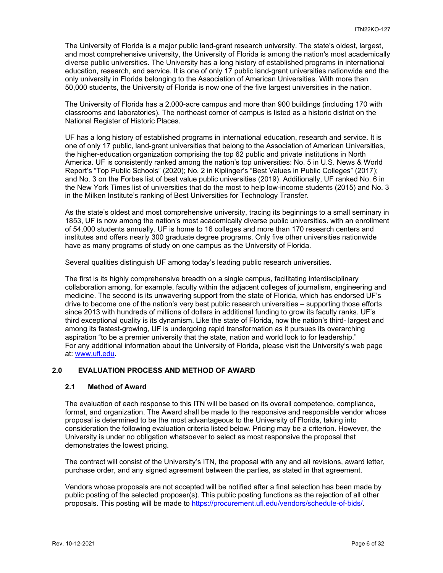The University of Florida is a major public land-grant research university. The state's oldest, largest, and most comprehensive university, the University of Florida is among the nation's most academically diverse public universities. The University has a long history of established programs in international education, research, and service. It is one of only 17 public land-grant universities nationwide and the only university in Florida belonging to the Association of American Universities. With more than 50,000 students, the University of Florida is now one of the five largest universities in the nation.

The University of Florida has a 2,000-acre campus and more than 900 buildings (including 170 with classrooms and laboratories). The northeast corner of campus is listed as a historic district on the National Register of Historic Places.

UF has a long history of established programs in international education, research and service. It is one of only 17 public, land-grant universities that belong to the Association of American Universities, the higher-education organization comprising the top 62 public and private institutions in North America. UF is consistently ranked among the nation's top universities: No. 5 in U.S. News & World Report's "Top Public Schools" (2020); No. 2 in Kiplinger's "Best Values in Public Colleges" (2017); and No. 3 on the Forbes list of best value public universities (2019). Additionally, UF ranked No. 6 in the New York Times list of universities that do the most to help low-income students (2015) and No. 3 in the Milken Institute's ranking of Best Universities for Technology Transfer.

As the state's oldest and most comprehensive university, tracing its beginnings to a small seminary in 1853, UF is now among the nation's most academically diverse public universities. with an enrollment of 54,000 students annually. UF is home to 16 colleges and more than 170 research centers and institutes and offers nearly 300 graduate degree programs. Only five other universities nationwide have as many programs of study on one campus as the University of Florida.

Several qualities distinguish UF among today's leading public research universities.

The first is its highly comprehensive breadth on a single campus, facilitating interdisciplinary collaboration among, for example, faculty within the adjacent colleges of journalism, engineering and medicine. The second is its unwavering support from the state of Florida, which has endorsed UF's drive to become one of the nation's very best public research universities – supporting those efforts since 2013 with hundreds of millions of dollars in additional funding to grow its faculty ranks. UF's third exceptional quality is its dynamism. Like the state of Florida, now the nation's third- largest and among its fastest-growing, UF is undergoing rapid transformation as it pursues its overarching aspiration "to be a premier university that the state, nation and world look to for leadership." For any additional information about the University of Florida, please visit the University's web page at: [www.ufl.edu.](http://www.ufl.edu/)

# <span id="page-5-0"></span>**2.0 EVALUATION PROCESS AND METHOD OF AWARD**

#### <span id="page-5-1"></span>**2.1 Method of Award**

The evaluation of each response to this ITN will be based on its overall competence, compliance, format, and organization. The Award shall be made to the responsive and responsible vendor whose proposal is determined to be the most advantageous to the University of Florida, taking into consideration the following evaluation criteria listed below. Pricing may be a criterion. However, the University is under no obligation whatsoever to select as most responsive the proposal that demonstrates the lowest pricing.

The contract will consist of the University's ITN, the proposal with any and all revisions, award letter, purchase order, and any signed agreement between the parties, as stated in that agreement.

Vendors whose proposals are not accepted will be notified after a final selection has been made by public posting of the selected proposer(s). This public posting functions as the rejection of all other proposals. This posting will be made to [https://procurement.ufl.edu/vendors/schedule-of-bids/.](https://procurement.ufl.edu/vendors/schedule-of-bids/)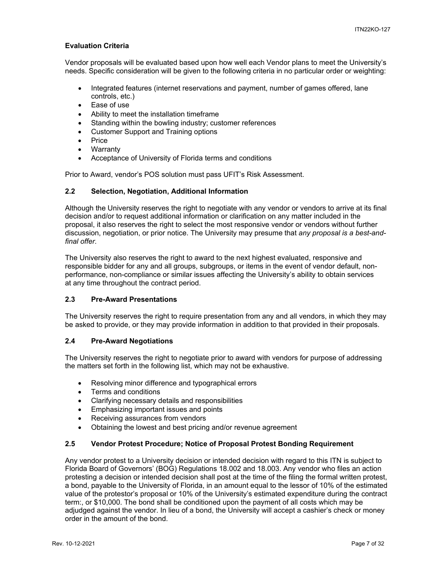#### **Evaluation Criteria**

Vendor proposals will be evaluated based upon how well each Vendor plans to meet the University's needs. Specific consideration will be given to the following criteria in no particular order or weighting:

- Integrated features (internet reservations and payment, number of games offered, lane controls, etc.)
- Ease of use
- Ability to meet the installation timeframe
- Standing within the bowling industry; customer references
- Customer Support and Training options
- Price
- **Warranty**
- Acceptance of University of Florida terms and conditions

Prior to Award, vendor's POS solution must pass UFIT's Risk Assessment.

#### <span id="page-6-0"></span>**2.2 Selection, Negotiation, Additional Information**

Although the University reserves the right to negotiate with any vendor or vendors to arrive at its final decision and/or to request additional information or clarification on any matter included in the proposal, it also reserves the right to select the most responsive vendor or vendors without further discussion, negotiation, or prior notice. The University may presume that *any proposal is a best-andfinal offer.*

The University also reserves the right to award to the next highest evaluated, responsive and responsible bidder for any and all groups, subgroups, or items in the event of vendor default, nonperformance, non-compliance or similar issues affecting the University's ability to obtain services at any time throughout the contract period.

#### <span id="page-6-1"></span>**2.3 Pre-Award Presentations**

The University reserves the right to require presentation from any and all vendors, in which they may be asked to provide, or they may provide information in addition to that provided in their proposals.

#### <span id="page-6-2"></span>**2.4 Pre-Award Negotiations**

The University reserves the right to negotiate prior to award with vendors for purpose of addressing the matters set forth in the following list, which may not be exhaustive.

- Resolving minor difference and typographical errors
- Terms and conditions
- Clarifying necessary details and responsibilities
- Emphasizing important issues and points
- Receiving assurances from vendors
- Obtaining the lowest and best pricing and/or revenue agreement

#### <span id="page-6-3"></span>**2.5 Vendor Protest Procedure; Notice of Proposal Protest Bonding Requirement**

Any vendor protest to a University decision or intended decision with regard to this ITN is subject to Florida Board of Governors' (BOG) Regulations 18.002 and 18.003. Any vendor who files an action protesting a decision or intended decision shall post at the time of the filing the formal written protest, a bond, payable to the University of Florida, in an amount equal to the lessor of 10% of the estimated value of the protestor's proposal or 10% of the University's estimated expenditure during the contract term:, or \$10,000. The bond shall be conditioned upon the payment of all costs which may be adjudged against the vendor. In lieu of a bond, the University will accept a cashier's check or money order in the amount of the bond.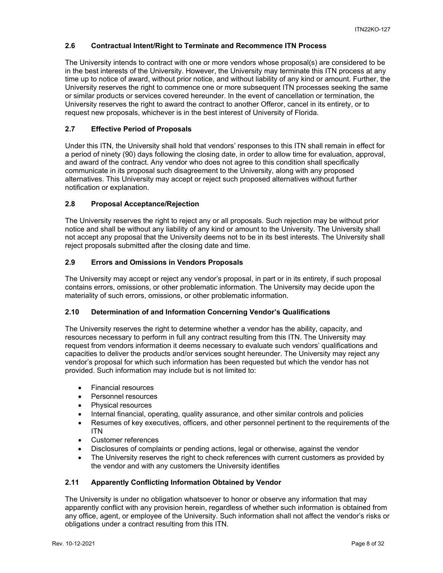# <span id="page-7-0"></span>**2.6 Contractual Intent/Right to Terminate and Recommence ITN Process**

The University intends to contract with one or more vendors whose proposal(s) are considered to be in the best interests of the University. However, the University may terminate this ITN process at any time up to notice of award, without prior notice, and without liability of any kind or amount. Further, the University reserves the right to commence one or more subsequent ITN processes seeking the same or similar products or services covered hereunder. In the event of cancellation or termination, the University reserves the right to award the contract to another Offeror, cancel in its entirety, or to request new proposals, whichever is in the best interest of University of Florida.

# <span id="page-7-1"></span>**2.7 Effective Period of Proposals**

Under this ITN, the University shall hold that vendors' responses to this ITN shall remain in effect for a period of ninety (90) days following the closing date, in order to allow time for evaluation, approval, and award of the contract. Any vendor who does not agree to this condition shall specifically communicate in its proposal such disagreement to the University, along with any proposed alternatives. This University may accept or reject such proposed alternatives without further notification or explanation.

# <span id="page-7-2"></span>**2.8 Proposal Acceptance/Rejection**

The University reserves the right to reject any or all proposals. Such rejection may be without prior notice and shall be without any liability of any kind or amount to the University. The University shall not accept any proposal that the University deems not to be in its best interests. The University shall reject proposals submitted after the closing date and time.

# <span id="page-7-3"></span>**2.9 Errors and Omissions in Vendors Proposals**

The University may accept or reject any vendor's proposal, in part or in its entirety, if such proposal contains errors, omissions, or other problematic information. The University may decide upon the materiality of such errors, omissions, or other problematic information.

# <span id="page-7-4"></span>**2.10 Determination of and Information Concerning Vendor's Qualifications**

The University reserves the right to determine whether a vendor has the ability, capacity, and resources necessary to perform in full any contract resulting from this ITN. The University may request from vendors information it deems necessary to evaluate such vendors' qualifications and capacities to deliver the products and/or services sought hereunder. The University may reject any vendor's proposal for which such information has been requested but which the vendor has not provided. Such information may include but is not limited to:

- Financial resources
- Personnel resources
- Physical resources
- Internal financial, operating, quality assurance, and other similar controls and policies
- Resumes of key executives, officers, and other personnel pertinent to the requirements of the ITN
- Customer references
- Disclosures of complaints or pending actions, legal or otherwise, against the vendor
- The University reserves the right to check references with current customers as provided by the vendor and with any customers the University identifies

# <span id="page-7-5"></span>**2.11 Apparently Conflicting Information Obtained by Vendor**

The University is under no obligation whatsoever to honor or observe any information that may apparently conflict with any provision herein, regardless of whether such information is obtained from any office, agent, or employee of the University. Such information shall not affect the vendor's risks or obligations under a contract resulting from this ITN.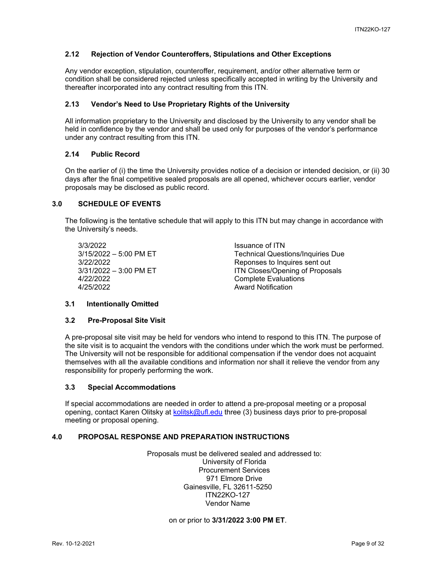# <span id="page-8-0"></span>**2.12 Rejection of Vendor Counteroffers, Stipulations and Other Exceptions**

Any vendor exception, stipulation, counteroffer, requirement, and/or other alternative term or condition shall be considered rejected unless specifically accepted in writing by the University and thereafter incorporated into any contract resulting from this ITN.

#### <span id="page-8-1"></span>**2.13 Vendor's Need to Use Proprietary Rights of the University**

All information proprietary to the University and disclosed by the University to any vendor shall be held in confidence by the vendor and shall be used only for purposes of the vendor's performance under any contract resulting from this ITN.

#### <span id="page-8-2"></span>**2.14 Public Record**

On the earlier of (i) the time the University provides notice of a decision or intended decision, or (ii) 30 days after the final competitive sealed proposals are all opened, whichever occurs earlier, vendor proposals may be disclosed as public record.

#### <span id="page-8-3"></span>**3.0 SCHEDULE OF EVENTS**

The following is the tentative schedule that will apply to this ITN but may change in accordance with the University's needs.

3/3/2022 Issuance of ITN 4/22/2022 Complete Evaluations 4/25/2022 Award Notification

3/15/2022 – 5:00 PM ET Technical Questions/Inquiries Due 3/22/2022 Reponses to Inquires sent out ITN Closes/Opening of Proposals

#### <span id="page-8-4"></span>**3.1 Intentionally Omitted**

#### <span id="page-8-5"></span>**3.2 Pre-Proposal Site Visit**

A pre-proposal site visit may be held for vendors who intend to respond to this ITN. The purpose of the site visit is to acquaint the vendors with the conditions under which the work must be performed. The University will not be responsible for additional compensation if the vendor does not acquaint themselves with all the available conditions and information nor shall it relieve the vendor from any responsibility for properly performing the work.

#### <span id="page-8-6"></span>**3.3 Special Accommodations**

If special accommodations are needed in order to attend a pre-proposal meeting or a proposal opening, contact Karen Olitsky at [kolitsk@ufl.edu](mailto:kolitsk@ufl.edu) three (3) business days prior to pre-proposal meeting or proposal opening.

#### <span id="page-8-7"></span>**4.0 PROPOSAL RESPONSE AND PREPARATION INSTRUCTIONS**

Proposals must be delivered sealed and addressed to: University of Florida Procurement Services 971 Elmore Drive Gainesville, FL 32611-5250 ITN22KO-127 Vendor Name

on or prior to **3/31/2022 3:00 PM ET**.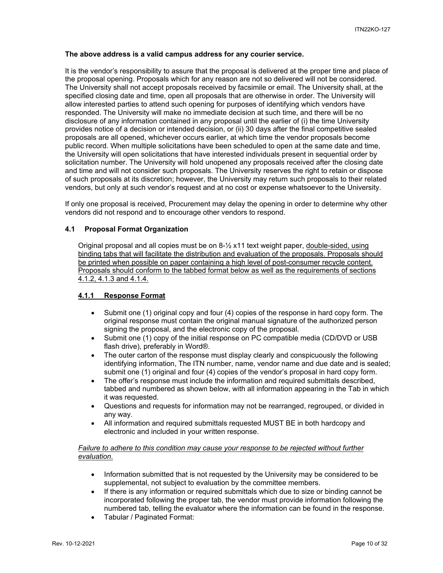#### **The above address is a valid campus address for any courier service.**

It is the vendor's responsibility to assure that the proposal is delivered at the proper time and place of the proposal opening. Proposals which for any reason are not so delivered will not be considered. The University shall not accept proposals received by facsimile or email. The University shall, at the specified closing date and time, open all proposals that are otherwise in order. The University will allow interested parties to attend such opening for purposes of identifying which vendors have responded. The University will make no immediate decision at such time, and there will be no disclosure of any information contained in any proposal until the earlier of (i) the time University provides notice of a decision or intended decision, or (ii) 30 days after the final competitive sealed proposals are all opened, whichever occurs earlier, at which time the vendor proposals become public record. When multiple solicitations have been scheduled to open at the same date and time, the University will open solicitations that have interested individuals present in sequential order by solicitation number. The University will hold unopened any proposals received after the closing date and time and will not consider such proposals. The University reserves the right to retain or dispose of such proposals at its discretion; however, the University may return such proposals to their related vendors, but only at such vendor's request and at no cost or expense whatsoever to the University.

If only one proposal is received, Procurement may delay the opening in order to determine why other vendors did not respond and to encourage other vendors to respond.

#### <span id="page-9-0"></span>**4.1 Proposal Format Organization**

Original proposal and all copies must be on  $8\frac{1}{2}$  x11 text weight paper, double-sided, using binding tabs that will facilitate the distribution and evaluation of the proposals. Proposals should be printed when possible on paper containing a high level of post-consumer recycle content. Proposals should conform to the tabbed format below as well as the requirements of sections 4.1.2, 4.1.3 and 4.1.4.

#### <span id="page-9-1"></span>**4.1.1 Response Format**

- Submit one (1) original copy and four (4) copies of the response in hard copy form. The original response must contain the original manual signature of the authorized person signing the proposal, and the electronic copy of the proposal.
- Submit one (1) copy of the initial response on PC compatible media (CD/DVD or USB flash drive), preferably in Word®.
- The outer carton of the response must display clearly and conspicuously the following identifying information, The ITN number, name, vendor name and due date and is sealed; submit one (1) original and four (4) copies of the vendor's proposal in hard copy form.
- The offer's response must include the information and required submittals described. tabbed and numbered as shown below, with all information appearing in the Tab in which it was requested.
- Questions and requests for information may not be rearranged, regrouped, or divided in any way.
- All information and required submittals requested MUST BE in both hardcopy and electronic and included in your written response.

#### *Failure to adhere to this condition may cause your response to be rejected without further evaluation.*

- Information submitted that is not requested by the University may be considered to be supplemental, not subject to evaluation by the committee members.
- If there is any information or required submittals which due to size or binding cannot be incorporated following the proper tab, the vendor must provide information following the numbered tab, telling the evaluator where the information can be found in the response.
- Tabular / Paginated Format: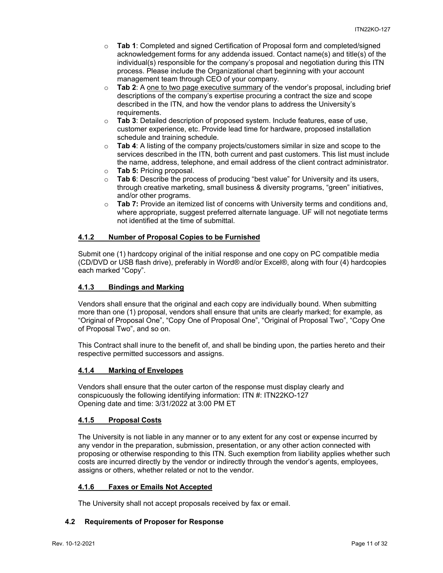- o **Tab 1**: Completed and signed Certification of Proposal form and completed/signed acknowledgement forms for any addenda issued. Contact name(s) and title(s) of the individual(s) responsible for the company's proposal and negotiation during this ITN process. Please include the Organizational chart beginning with your account management team through CEO of your company.
- o **Tab 2**: A one to two page executive summary of the vendor's proposal, including brief descriptions of the company's expertise procuring a contract the size and scope described in the ITN, and how the vendor plans to address the University's requirements.
- o **Tab 3**: Detailed description of proposed system. Include features, ease of use, customer experience, etc. Provide lead time for hardware, proposed installation schedule and training schedule.
- o **Tab 4**: A listing of the company projects/customers similar in size and scope to the services described in the ITN, both current and past customers. This list must include the name, address, telephone, and email address of the client contract administrator.
- o **Tab 5:** Pricing proposal.<br>○ **Tab 6**: Describe the proc
- Tab 6: Describe the process of producing "best value" for University and its users, through creative marketing, small business & diversity programs, "green" initiatives, and/or other programs.
- o **Tab 7:** Provide an itemized list of concerns with University terms and conditions and, where appropriate, suggest preferred alternate language. UF will not negotiate terms not identified at the time of submittal.

# <span id="page-10-0"></span>**4.1.2 Number of Proposal Copies to be Furnished**

Submit one (1) hardcopy original of the initial response and one copy on PC compatible media (CD/DVD or USB flash drive), preferably in Word® and/or Excel®, along with four (4) hardcopies each marked "Copy".

#### <span id="page-10-1"></span>**4.1.3 Bindings and Marking**

Vendors shall ensure that the original and each copy are individually bound. When submitting more than one (1) proposal, vendors shall ensure that units are clearly marked; for example, as "Original of Proposal One", "Copy One of Proposal One", "Original of Proposal Two", "Copy One of Proposal Two", and so on.

This Contract shall inure to the benefit of, and shall be binding upon, the parties hereto and their respective permitted successors and assigns.

#### <span id="page-10-2"></span>**4.1.4 Marking of Envelopes**

Vendors shall ensure that the outer carton of the response must display clearly and conspicuously the following identifying information: ITN #: ITN22KO-127 Opening date and time: 3/31/2022 at 3:00 PM ET

#### <span id="page-10-3"></span>**4.1.5 Proposal Costs**

The University is not liable in any manner or to any extent for any cost or expense incurred by any vendor in the preparation, submission, presentation, or any other action connected with proposing or otherwise responding to this ITN. Such exemption from liability applies whether such costs are incurred directly by the vendor or indirectly through the vendor's agents, employees, assigns or others, whether related or not to the vendor.

#### <span id="page-10-4"></span>**4.1.6 Faxes or Emails Not Accepted**

The University shall not accept proposals received by fax or email.

#### <span id="page-10-5"></span>**4.2 Requirements of Proposer for Response**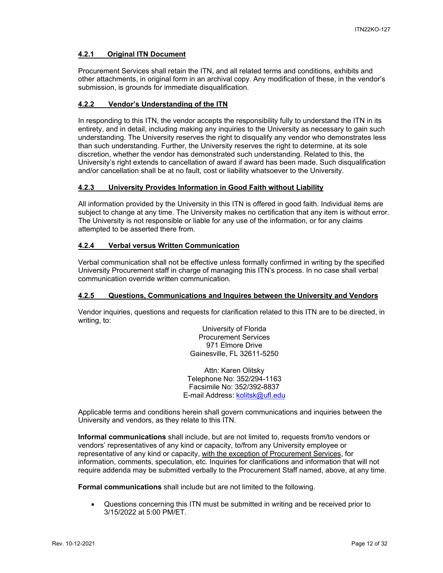### <span id="page-11-0"></span>**4.2.1 Original ITN Document**

Procurement Services shall retain the ITN, and all related terms and conditions, exhibits and other attachments, in original form in an archival copy. Any modification of these, in the vendor's submission, is grounds for immediate disqualification.

#### <span id="page-11-1"></span>**4.2.2 Vendor's Understanding of the ITN**

In responding to this ITN, the vendor accepts the responsibility fully to understand the ITN in its entirety, and in detail, including making any inquiries to the University as necessary to gain such understanding. The University reserves the right to disqualify any vendor who demonstrates less than such understanding. Further, the University reserves the right to determine, at its sole discretion, whether the vendor has demonstrated such understanding. Related to this, the University's right extends to cancellation of award if award has been made. Such disqualification and/or cancellation shall be at no fault, cost or liability whatsoever to the University.

#### <span id="page-11-2"></span>**4.2.3 University Provides Information in Good Faith without Liability**

All information provided by the University in this ITN is offered in good faith. Individual items are subject to change at any time. The University makes no certification that any item is without error. The University is not responsible or liable for any use of the information, or for any claims attempted to be asserted there from.

#### <span id="page-11-3"></span>**4.2.4 Verbal versus Written Communication**

Verbal communication shall not be effective unless formally confirmed in writing by the specified University Procurement staff in charge of managing this ITN's process. In no case shall verbal communication override written communication.

### <span id="page-11-4"></span>**4.2.5 Questions, Communications and Inquires between the University and Vendors**

Vendor inquiries, questions and requests for clarification related to this ITN are to be directed, in writing, to:

> University of Florida Procurement Services 971 Elmore Drive Gainesville, FL 32611-5250

Attn: Karen Olitsky Telephone No: 352/294-1163 Facsimile No: 352/392-8837 E-mail Address: [kolitsk@ufl.edu](mailto:kolitsk@ufl.edu)

Applicable terms and conditions herein shall govern communications and inquiries between the University and vendors, as they relate to this ITN.

**Informal communications** shall include, but are not limited to, requests from/to vendors or vendors' representatives of any kind or capacity, to/from any University employee or representative of any kind or capacity, with the exception of Procurement Services, for information, comments, speculation, etc. Inquiries for clarifications and information that will not require addenda may be submitted verbally to the Procurement Staff named, above, at any time.

**Formal communications** shall include but are not limited to the following.

• Questions concerning this ITN must be submitted in writing and be received prior to 3/15/2022 at 5:00 PM/ET.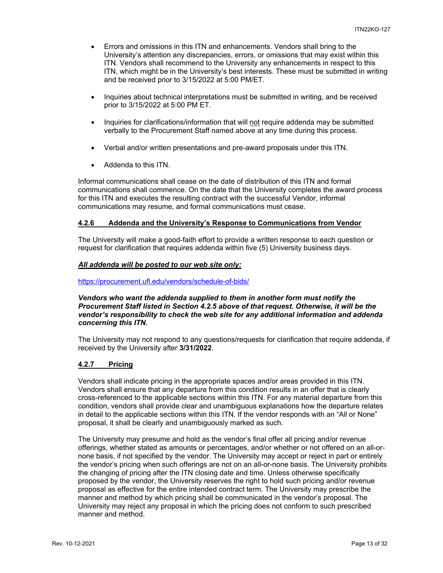- Errors and omissions in this ITN and enhancements. Vendors shall bring to the University's attention any discrepancies, errors, or omissions that may exist within this ITN. Vendors shall recommend to the University any enhancements in respect to this ITN, which might be in the University's best interests. These must be submitted in writing and be received prior to 3/15/2022 at 5:00 PM/ET.
- Inquiries about technical interpretations must be submitted in writing, and be received prior to 3/15/2022 at 5:00 PM ET.
- Inquiries for clarifications/information that will not require addenda may be submitted verbally to the Procurement Staff named above at any time during this process.
- Verbal and/or written presentations and pre-award proposals under this ITN.
- Addenda to this ITN.

Informal communications shall cease on the date of distribution of this ITN and formal communications shall commence. On the date that the University completes the award process for this ITN and executes the resulting contract with the successful Vendor, informal communications may resume, and formal communications must cease.

# <span id="page-12-0"></span>**4.2.6 Addenda and the University's Response to Communications from Vendor**

The University will make a good-faith effort to provide a written response to each question or request for clarification that requires addenda within five (5) University business days.

#### *All addenda will be posted to our web site only:*

<https://procurement.ufl.edu/vendors/schedule-of-bids/>

#### *Vendors who want the addenda supplied to them in another form must notify the Procurement Staff listed in Section 4.2.5 above of that request. Otherwise, it will be the vendor's responsibility to check the web site for any additional information and addenda concerning this ITN.*

The University may not respond to any questions/requests for clarification that require addenda, if received by the University after **3/31/2022**.

#### <span id="page-12-1"></span>**4.2.7 Pricing**

Vendors shall indicate pricing in the appropriate spaces and/or areas provided in this ITN. Vendors shall ensure that any departure from this condition results in an offer that is clearly cross-referenced to the applicable sections within this ITN. For any material departure from this condition, vendors shall provide clear and unambiguous explanations how the departure relates in detail to the applicable sections within this ITN. If the vendor responds with an "All or None" proposal, it shall be clearly and unambiguously marked as such.

The University may presume and hold as the vendor's final offer all pricing and/or revenue offerings, whether stated as amounts or percentages, and/or whether or not offered on an all-ornone basis, if not specified by the vendor. The University may accept or reject in part or entirely the vendor's pricing when such offerings are not on an all-or-none basis. The University prohibits the changing of pricing after the ITN closing date and time. Unless otherwise specifically proposed by the vendor, the University reserves the right to hold such pricing and/or revenue proposal as effective for the entire intended contract term. The University may prescribe the manner and method by which pricing shall be communicated in the vendor's proposal. The University may reject any proposal in which the pricing does not conform to such prescribed manner and method.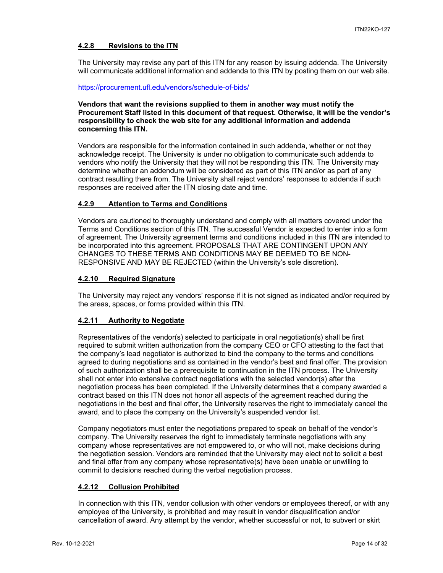#### <span id="page-13-0"></span>**4.2.8 Revisions to the ITN**

The University may revise any part of this ITN for any reason by issuing addenda. The University will communicate additional information and addenda to this ITN by posting them on our web site.

<https://procurement.ufl.edu/vendors/schedule-of-bids/>

#### **Vendors that want the revisions supplied to them in another way must notify the Procurement Staff listed in this document of that request. Otherwise, it will be the vendor's responsibility to check the web site for any additional information and addenda concerning this ITN.**

Vendors are responsible for the information contained in such addenda, whether or not they acknowledge receipt. The University is under no obligation to communicate such addenda to vendors who notify the University that they will not be responding this ITN. The University may determine whether an addendum will be considered as part of this ITN and/or as part of any contract resulting there from. The University shall reject vendors' responses to addenda if such responses are received after the ITN closing date and time.

#### <span id="page-13-1"></span>**4.2.9 Attention to Terms and Conditions**

Vendors are cautioned to thoroughly understand and comply with all matters covered under the Terms and Conditions section of this ITN. The successful Vendor is expected to enter into a form of agreement. The University agreement terms and conditions included in this ITN are intended to be incorporated into this agreement. PROPOSALS THAT ARE CONTINGENT UPON ANY CHANGES TO THESE TERMS AND CONDITIONS MAY BE DEEMED TO BE NON-RESPONSIVE AND MAY BE REJECTED (within the University's sole discretion).

#### <span id="page-13-2"></span>**4.2.10 Required Signature**

The University may reject any vendors' response if it is not signed as indicated and/or required by the areas, spaces, or forms provided within this ITN.

#### <span id="page-13-3"></span>**4.2.11 Authority to Negotiate**

Representatives of the vendor(s) selected to participate in oral negotiation(s) shall be first required to submit written authorization from the company CEO or CFO attesting to the fact that the company's lead negotiator is authorized to bind the company to the terms and conditions agreed to during negotiations and as contained in the vendor's best and final offer. The provision of such authorization shall be a prerequisite to continuation in the ITN process. The University shall not enter into extensive contract negotiations with the selected vendor(s) after the negotiation process has been completed. If the University determines that a company awarded a contract based on this ITN does not honor all aspects of the agreement reached during the negotiations in the best and final offer, the University reserves the right to immediately cancel the award, and to place the company on the University's suspended vendor list.

Company negotiators must enter the negotiations prepared to speak on behalf of the vendor's company. The University reserves the right to immediately terminate negotiations with any company whose representatives are not empowered to, or who will not, make decisions during the negotiation session. Vendors are reminded that the University may elect not to solicit a best and final offer from any company whose representative(s) have been unable or unwilling to commit to decisions reached during the verbal negotiation process.

#### <span id="page-13-4"></span>**4.2.12 Collusion Prohibited**

In connection with this ITN, vendor collusion with other vendors or employees thereof, or with any employee of the University, is prohibited and may result in vendor disqualification and/or cancellation of award. Any attempt by the vendor, whether successful or not, to subvert or skirt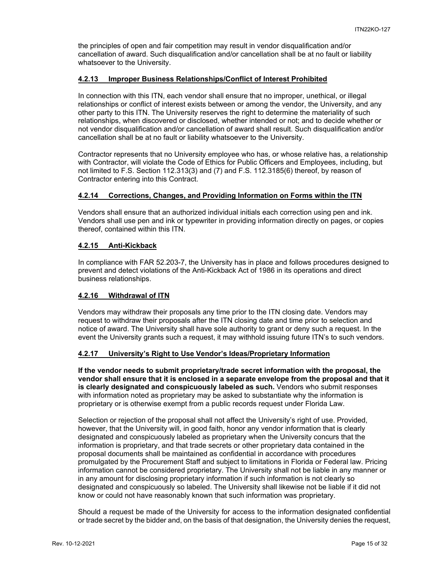the principles of open and fair competition may result in vendor disqualification and/or cancellation of award. Such disqualification and/or cancellation shall be at no fault or liability whatsoever to the University.

## <span id="page-14-0"></span>**4.2.13 Improper Business Relationships/Conflict of Interest Prohibited**

In connection with this ITN, each vendor shall ensure that no improper, unethical, or illegal relationships or conflict of interest exists between or among the vendor, the University, and any other party to this ITN. The University reserves the right to determine the materiality of such relationships, when discovered or disclosed, whether intended or not; and to decide whether or not vendor disqualification and/or cancellation of award shall result. Such disqualification and/or cancellation shall be at no fault or liability whatsoever to the University.

Contractor represents that no University employee who has, or whose relative has, a relationship with Contractor, will violate the Code of Ethics for Public Officers and Employees, including, but not limited to F.S. Section 112.313(3) and (7) and F.S. 112.3185(6) thereof, by reason of Contractor entering into this Contract.

#### <span id="page-14-1"></span>**4.2.14 Corrections, Changes, and Providing Information on Forms within the ITN**

Vendors shall ensure that an authorized individual initials each correction using pen and ink. Vendors shall use pen and ink or typewriter in providing information directly on pages, or copies thereof, contained within this ITN.

#### <span id="page-14-2"></span>**4.2.15 Anti-Kickback**

In compliance with FAR 52.203-7, the University has in place and follows procedures designed to prevent and detect violations of the Anti-Kickback Act of 1986 in its operations and direct business relationships.

#### <span id="page-14-3"></span>**4.2.16 Withdrawal of ITN**

Vendors may withdraw their proposals any time prior to the ITN closing date. Vendors may request to withdraw their proposals after the ITN closing date and time prior to selection and notice of award. The University shall have sole authority to grant or deny such a request. In the event the University grants such a request, it may withhold issuing future ITN's to such vendors.

# <span id="page-14-4"></span>**4.2.17 University's Right to Use Vendor's Ideas/Proprietary Information**

**If the vendor needs to submit proprietary/trade secret information with the proposal, the vendor shall ensure that it is enclosed in a separate envelope from the proposal and that it is clearly designated and conspicuously labeled as such.** Vendors who submit responses with information noted as proprietary may be asked to substantiate why the information is proprietary or is otherwise exempt from a public records request under Florida Law.

Selection or rejection of the proposal shall not affect the University's right of use. Provided, however, that the University will, in good faith, honor any vendor information that is clearly designated and conspicuously labeled as proprietary when the University concurs that the information is proprietary, and that trade secrets or other proprietary data contained in the proposal documents shall be maintained as confidential in accordance with procedures promulgated by the Procurement Staff and subject to limitations in Florida or Federal law. Pricing information cannot be considered proprietary. The University shall not be liable in any manner or in any amount for disclosing proprietary information if such information is not clearly so designated and conspicuously so labeled. The University shall likewise not be liable if it did not know or could not have reasonably known that such information was proprietary.

Should a request be made of the University for access to the information designated confidential or trade secret by the bidder and, on the basis of that designation, the University denies the request,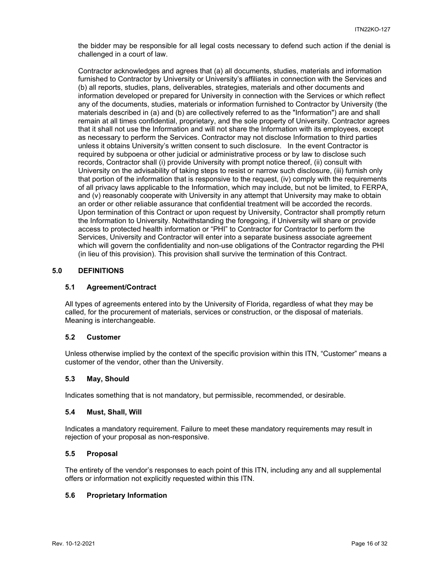the bidder may be responsible for all legal costs necessary to defend such action if the denial is challenged in a court of law.

Contractor acknowledges and agrees that (a) all documents, studies, materials and information furnished to Contractor by University or University's affiliates in connection with the Services and (b) all reports, studies, plans, deliverables, strategies, materials and other documents and information developed or prepared for University in connection with the Services or which reflect any of the documents, studies, materials or information furnished to Contractor by University (the materials described in (a) and (b) are collectively referred to as the "Information") are and shall remain at all times confidential, proprietary, and the sole property of University. Contractor agrees that it shall not use the Information and will not share the Information with its employees, except as necessary to perform the Services. Contractor may not disclose Information to third parties unless it obtains University's written consent to such disclosure. In the event Contractor is required by subpoena or other judicial or administrative process or by law to disclose such records, Contractor shall (i) provide University with prompt notice thereof, (ii) consult with University on the advisability of taking steps to resist or narrow such disclosure, (iii) furnish only that portion of the information that is responsive to the request, (iv) comply with the requirements of all privacy laws applicable to the Information, which may include, but not be limited, to FERPA, and (v) reasonably cooperate with University in any attempt that University may make to obtain an order or other reliable assurance that confidential treatment will be accorded the records. Upon termination of this Contract or upon request by University, Contractor shall promptly return the Information to University. Notwithstanding the foregoing, if University will share or provide access to protected health information or "PHI" to Contractor for Contractor to perform the Services, University and Contractor will enter into a separate business associate agreement which will govern the confidentiality and non-use obligations of the Contractor regarding the PHI (in lieu of this provision). This provision shall survive the termination of this Contract.

#### <span id="page-15-0"></span>**5.0 DEFINITIONS**

#### <span id="page-15-1"></span>**5.1 Agreement/Contract**

All types of agreements entered into by the University of Florida, regardless of what they may be called, for the procurement of materials, services or construction, or the disposal of materials. Meaning is interchangeable.

#### <span id="page-15-2"></span>**5.2 Customer**

Unless otherwise implied by the context of the specific provision within this ITN, "Customer" means a customer of the vendor, other than the University.

#### <span id="page-15-3"></span>**5.3 May, Should**

Indicates something that is not mandatory, but permissible, recommended, or desirable.

#### <span id="page-15-4"></span>**5.4 Must, Shall, Will**

Indicates a mandatory requirement. Failure to meet these mandatory requirements may result in rejection of your proposal as non-responsive.

# <span id="page-15-5"></span>**5.5 Proposal**

The entirety of the vendor's responses to each point of this ITN, including any and all supplemental offers or information not explicitly requested within this ITN.

#### <span id="page-15-6"></span>**5.6 Proprietary Information**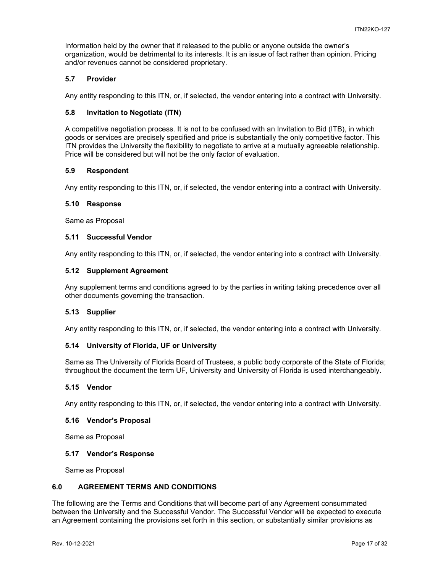Information held by the owner that if released to the public or anyone outside the owner's organization, would be detrimental to its interests. It is an issue of fact rather than opinion. Pricing and/or revenues cannot be considered proprietary.

#### <span id="page-16-0"></span>**5.7 Provider**

Any entity responding to this ITN, or, if selected, the vendor entering into a contract with University.

#### <span id="page-16-1"></span>**5.8 Invitation to Negotiate (ITN)**

A competitive negotiation process. It is not to be confused with an Invitation to Bid (ITB), in which goods or services are precisely specified and price is substantially the only competitive factor. This ITN provides the University the flexibility to negotiate to arrive at a mutually agreeable relationship. Price will be considered but will not be the only factor of evaluation.

#### <span id="page-16-2"></span>**5.9 Respondent**

Any entity responding to this ITN, or, if selected, the vendor entering into a contract with University.

#### <span id="page-16-3"></span>**5.10 Response**

Same as Proposal

#### <span id="page-16-4"></span>**5.11 Successful Vendor**

Any entity responding to this ITN, or, if selected, the vendor entering into a contract with University.

#### <span id="page-16-5"></span>**5.12 Supplement Agreement**

Any supplement terms and conditions agreed to by the parties in writing taking precedence over all other documents governing the transaction.

#### <span id="page-16-6"></span>**5.13 Supplier**

Any entity responding to this ITN, or, if selected, the vendor entering into a contract with University.

#### <span id="page-16-7"></span>**5.14 University of Florida, UF or University**

Same as The University of Florida Board of Trustees, a public body corporate of the State of Florida; throughout the document the term UF, University and University of Florida is used interchangeably.

#### <span id="page-16-8"></span>**5.15 Vendor**

Any entity responding to this ITN, or, if selected, the vendor entering into a contract with University.

#### <span id="page-16-9"></span>**5.16 Vendor's Proposal**

Same as Proposal

#### <span id="page-16-10"></span>**5.17 Vendor's Response**

Same as Proposal

#### <span id="page-16-11"></span>**6.0 AGREEMENT TERMS AND CONDITIONS**

The following are the Terms and Conditions that will become part of any Agreement consummated between the University and the Successful Vendor. The Successful Vendor will be expected to execute an Agreement containing the provisions set forth in this section, or substantially similar provisions as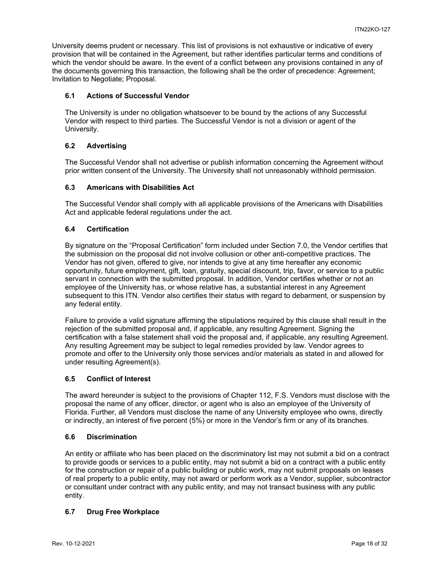University deems prudent or necessary. This list of provisions is not exhaustive or indicative of every provision that will be contained in the Agreement, but rather identifies particular terms and conditions of which the vendor should be aware. In the event of a conflict between any provisions contained in any of the documents governing this transaction, the following shall be the order of precedence: Agreement; Invitation to Negotiate; Proposal.

### <span id="page-17-0"></span>**6.1 Actions of Successful Vendor**

The University is under no obligation whatsoever to be bound by the actions of any Successful Vendor with respect to third parties. The Successful Vendor is not a division or agent of the University.

# <span id="page-17-1"></span>**6.2 Advertising**

The Successful Vendor shall not advertise or publish information concerning the Agreement without prior written consent of the University. The University shall not unreasonably withhold permission.

# <span id="page-17-2"></span>**6.3 Americans with Disabilities Act**

The Successful Vendor shall comply with all applicable provisions of the Americans with Disabilities Act and applicable federal regulations under the act.

# <span id="page-17-3"></span>**6.4 Certification**

By signature on the "Proposal Certification" form included under Section 7.0, the Vendor certifies that the submission on the proposal did not involve collusion or other anti-competitive practices. The Vendor has not given, offered to give, nor intends to give at any time hereafter any economic opportunity, future employment, gift, loan, gratuity, special discount, trip, favor, or service to a public servant in connection with the submitted proposal. In addition, Vendor certifies whether or not an employee of the University has, or whose relative has, a substantial interest in any Agreement subsequent to this ITN. Vendor also certifies their status with regard to debarment, or suspension by any federal entity.

Failure to provide a valid signature affirming the stipulations required by this clause shall result in the rejection of the submitted proposal and, if applicable, any resulting Agreement. Signing the certification with a false statement shall void the proposal and, if applicable, any resulting Agreement. Any resulting Agreement may be subject to legal remedies provided by law. Vendor agrees to promote and offer to the University only those services and/or materials as stated in and allowed for under resulting Agreement(s).

#### <span id="page-17-4"></span>**6.5 Conflict of Interest**

The award hereunder is subject to the provisions of Chapter 112, F.S. Vendors must disclose with the proposal the name of any officer, director, or agent who is also an employee of the University of Florida. Further, all Vendors must disclose the name of any University employee who owns, directly or indirectly, an interest of five percent (5%) or more in the Vendor's firm or any of its branches.

#### <span id="page-17-5"></span>**6.6 Discrimination**

An entity or affiliate who has been placed on the discriminatory list may not submit a bid on a contract to provide goods or services to a public entity, may not submit a bid on a contract with a public entity for the construction or repair of a public building or public work, may not submit proposals on leases of real property to a public entity, may not award or perform work as a Vendor, supplier, subcontractor or consultant under contract with any public entity, and may not transact business with any public entity.

# <span id="page-17-6"></span>**6.7 Drug Free Workplace**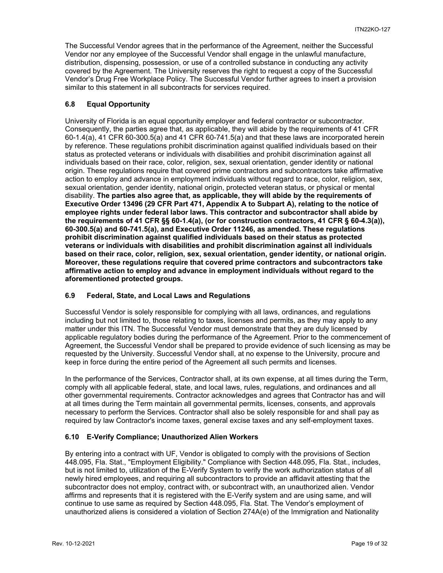The Successful Vendor agrees that in the performance of the Agreement, neither the Successful Vendor nor any employee of the Successful Vendor shall engage in the unlawful manufacture, distribution, dispensing, possession, or use of a controlled substance in conducting any activity covered by the Agreement. The University reserves the right to request a copy of the Successful Vendor's Drug Free Workplace Policy. The Successful Vendor further agrees to insert a provision similar to this statement in all subcontracts for services required.

#### <span id="page-18-0"></span>**6.8 Equal Opportunity**

University of Florida is an equal opportunity employer and federal contractor or subcontractor. Consequently, the parties agree that, as applicable, they will abide by the requirements of 41 CFR 60-1.4(a), 41 CFR 60-300.5(a) and 41 CFR 60-741.5(a) and that these laws are incorporated herein by reference. These regulations prohibit discrimination against qualified individuals based on their status as protected veterans or individuals with disabilities and prohibit discrimination against all individuals based on their race, color, religion, sex, sexual orientation, gender identity or national origin. These regulations require that covered prime contractors and subcontractors take affirmative action to employ and advance in employment individuals without regard to race, color, religion, sex, sexual orientation, gender identity, national origin, protected veteran status, or physical or mental disability. **The parties also agree that, as applicable, they will abide by the requirements of Executive Order 13496 (29 CFR Part 471, Appendix A to Subpart A), relating to the notice of employee rights under federal labor laws. This contractor and subcontractor shall abide by the requirements of 41 CFR §§ 60-1.4(a), (or for construction contractors, 41 CFR § 60-4.3(a)), 60-300.5(a) and 60-741.5(a), and Executive Order 11246, as amended. These regulations prohibit discrimination against qualified individuals based on their status as protected veterans or individuals with disabilities and prohibit discrimination against all individuals based on their race, color, religion, sex, sexual orientation, gender identity, or national origin. Moreover, these regulations require that covered prime contractors and subcontractors take affirmative action to employ and advance in employment individuals without regard to the aforementioned protected groups.**

#### <span id="page-18-1"></span>**6.9 Federal, State, and Local Laws and Regulations**

Successful Vendor is solely responsible for complying with all laws, ordinances, and regulations including but not limited to, those relating to taxes, licenses and permits, as they may apply to any matter under this ITN. The Successful Vendor must demonstrate that they are duly licensed by applicable regulatory bodies during the performance of the Agreement. Prior to the commencement of Agreement, the Successful Vendor shall be prepared to provide evidence of such licensing as may be requested by the University. Successful Vendor shall, at no expense to the University, procure and keep in force during the entire period of the Agreement all such permits and licenses.

In the performance of the Services, Contractor shall, at its own expense, at all times during the Term, comply with all applicable federal, state, and local laws, rules, regulations, and ordinances and all other governmental requirements. Contractor acknowledges and agrees that Contractor has and will at all times during the Term maintain all governmental permits, licenses, consents, and approvals necessary to perform the Services. Contractor shall also be solely responsible for and shall pay as required by law Contractor's income taxes, general excise taxes and any self-employment taxes.

#### <span id="page-18-2"></span>**6.10 E-Verify Compliance; Unauthorized Alien Workers**

By entering into a contract with UF, Vendor is obligated to comply with the provisions of Section 448.095, Fla. Stat., "Employment Eligibility." Compliance with Section 448.095, Fla. Stat., includes, but is not limited to, utilization of the E-Verify System to verify the work authorization status of all newly hired employees, and requiring all subcontractors to provide an affidavit attesting that the subcontractor does not employ, contract with, or subcontract with, an unauthorized alien. Vendor affirms and represents that it is registered with the E-Verify system and are using same, and will continue to use same as required by Section 448.095, Fla. Stat. The Vendor's employment of unauthorized aliens is considered a violation of Section 274A(e) of the Immigration and Nationality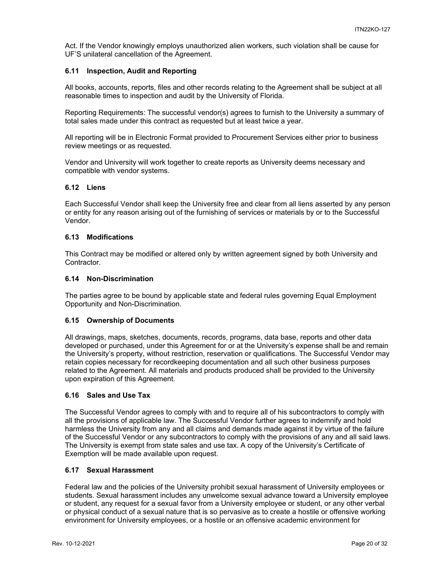Act. If the Vendor knowingly employs unauthorized alien workers, such violation shall be cause for UF'S unilateral cancellation of the Agreement.

#### <span id="page-19-0"></span>**6.11 Inspection, Audit and Reporting**

All books, accounts, reports, files and other records relating to the Agreement shall be subject at all reasonable times to inspection and audit by the University of Florida.

Reporting Requirements: The successful vendor(s) agrees to furnish to the University a summary of total sales made under this contract as requested but at least twice a year.

All reporting will be in Electronic Format provided to Procurement Services either prior to business review meetings or as requested.

Vendor and University will work together to create reports as University deems necessary and compatible with vendor systems.

#### <span id="page-19-1"></span>**6.12 Liens**

Each Successful Vendor shall keep the University free and clear from all liens asserted by any person or entity for any reason arising out of the furnishing of services or materials by or to the Successful Vendor.

#### <span id="page-19-2"></span>**6.13 Modifications**

This Contract may be modified or altered only by written agreement signed by both University and Contractor.

#### <span id="page-19-3"></span>**6.14 Non-Discrimination**

The parties agree to be bound by applicable state and federal rules governing Equal Employment Opportunity and Non-Discrimination.

#### <span id="page-19-4"></span>**6.15 Ownership of Documents**

All drawings, maps, sketches, documents, records, programs, data base, reports and other data developed or purchased, under this Agreement for or at the University's expense shall be and remain the University's property, without restriction, reservation or qualifications. The Successful Vendor may retain copies necessary for recordkeeping documentation and all such other business purposes related to the Agreement. All materials and products produced shall be provided to the University upon expiration of this Agreement.

#### <span id="page-19-5"></span>**6.16 Sales and Use Tax**

The Successful Vendor agrees to comply with and to require all of his subcontractors to comply with all the provisions of applicable law. The Successful Vendor further agrees to indemnify and hold harmless the University from any and all claims and demands made against it by virtue of the failure of the Successful Vendor or any subcontractors to comply with the provisions of any and all said laws. The University is exempt from state sales and use tax. A copy of the University's Certificate of Exemption will be made available upon request.

#### <span id="page-19-6"></span>**6.17 Sexual Harassment**

Federal law and the policies of the University prohibit sexual harassment of University employees or students. Sexual harassment includes any unwelcome sexual advance toward a University employee or student, any request for a sexual favor from a University employee or student, or any other verbal or physical conduct of a sexual nature that is so pervasive as to create a hostile or offensive working environment for University employees, or a hostile or an offensive academic environment for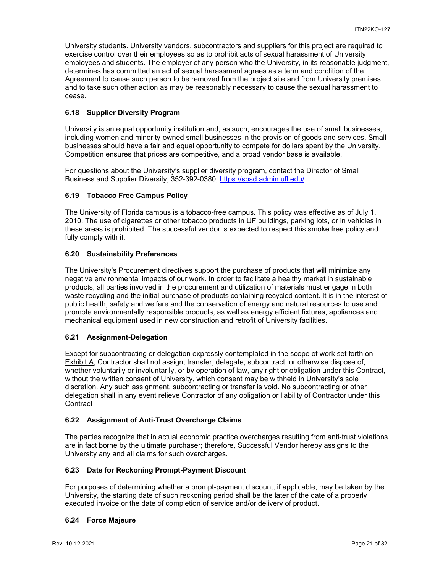University students. University vendors, subcontractors and suppliers for this project are required to exercise control over their employees so as to prohibit acts of sexual harassment of University employees and students. The employer of any person who the University, in its reasonable judgment, determines has committed an act of sexual harassment agrees as a term and condition of the Agreement to cause such person to be removed from the project site and from University premises and to take such other action as may be reasonably necessary to cause the sexual harassment to cease.

### <span id="page-20-0"></span>**6.18 Supplier Diversity Program**

University is an equal opportunity institution and, as such, encourages the use of small businesses, including women and minority-owned small businesses in the provision of goods and services. Small businesses should have a fair and equal opportunity to compete for dollars spent by the University. Competition ensures that prices are competitive, and a broad vendor base is available.

For questions about the University's supplier diversity program, contact the Director of Small Business and Supplier Diversity, 352-392-0380, [https://sbsd.admin.ufl.edu/.](https://sbsd.admin.ufl.edu/)

#### <span id="page-20-1"></span>**6.19 Tobacco Free Campus Policy**

The University of Florida campus is a tobacco-free campus. This policy was effective as of July 1, 2010. The use of cigarettes or other tobacco products in UF buildings, parking lots, or in vehicles in these areas is prohibited. The successful vendor is expected to respect this smoke free policy and fully comply with it.

#### <span id="page-20-2"></span>**6.20 Sustainability Preferences**

The University's Procurement directives support the purchase of products that will minimize any negative environmental impacts of our work. In order to facilitate a healthy market in sustainable products, all parties involved in the procurement and utilization of materials must engage in both waste recycling and the initial purchase of products containing recycled content. It is in the interest of public health, safety and welfare and the conservation of energy and natural resources to use and promote environmentally responsible products, as well as energy efficient fixtures, appliances and mechanical equipment used in new construction and retrofit of University facilities.

#### <span id="page-20-3"></span>**6.21 Assignment-Delegation**

Except for subcontracting or delegation expressly contemplated in the scope of work set forth on Exhibit A, Contractor shall not assign, transfer, delegate, subcontract, or otherwise dispose of, whether voluntarily or involuntarily, or by operation of law, any right or obligation under this Contract, without the written consent of University, which consent may be withheld in University's sole discretion. Any such assignment, subcontracting or transfer is void. No subcontracting or other delegation shall in any event relieve Contractor of any obligation or liability of Contractor under this **Contract** 

#### <span id="page-20-4"></span>**6.22 Assignment of Anti-Trust Overcharge Claims**

The parties recognize that in actual economic practice overcharges resulting from anti-trust violations are in fact borne by the ultimate purchaser; therefore, Successful Vendor hereby assigns to the University any and all claims for such overcharges.

#### <span id="page-20-5"></span>**6.23 Date for Reckoning Prompt-Payment Discount**

For purposes of determining whether a prompt-payment discount, if applicable, may be taken by the University, the starting date of such reckoning period shall be the later of the date of a properly executed invoice or the date of completion of service and/or delivery of product.

#### <span id="page-20-6"></span>**6.24 Force Majeure**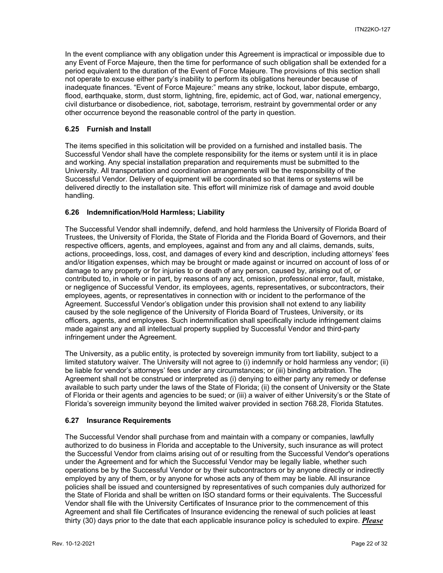In the event compliance with any obligation under this Agreement is impractical or impossible due to any Event of Force Majeure, then the time for performance of such obligation shall be extended for a period equivalent to the duration of the Event of Force Majeure. The provisions of this section shall not operate to excuse either party's inability to perform its obligations hereunder because of inadequate finances. "Event of Force Majeure:" means any strike, lockout, labor dispute, embargo, flood, earthquake, storm, dust storm, lightning, fire, epidemic, act of God, war, national emergency, civil disturbance or disobedience, riot, sabotage, terrorism, restraint by governmental order or any other occurrence beyond the reasonable control of the party in question.

#### <span id="page-21-0"></span>**6.25 Furnish and Install**

The items specified in this solicitation will be provided on a furnished and installed basis. The Successful Vendor shall have the complete responsibility for the items or system until it is in place and working. Any special installation preparation and requirements must be submitted to the University. All transportation and coordination arrangements will be the responsibility of the Successful Vendor. Delivery of equipment will be coordinated so that items or systems will be delivered directly to the installation site. This effort will minimize risk of damage and avoid double handling.

#### <span id="page-21-1"></span>**6.26 Indemnification/Hold Harmless; Liability**

The Successful Vendor shall indemnify, defend, and hold harmless the University of Florida Board of Trustees, the University of Florida, the State of Florida and the Florida Board of Governors, and their respective officers, agents, and employees, against and from any and all claims, demands, suits, actions, proceedings, loss, cost, and damages of every kind and description, including attorneys' fees and/or litigation expenses, which may be brought or made against or incurred on account of loss of or damage to any property or for injuries to or death of any person, caused by, arising out of, or contributed to, in whole or in part, by reasons of any act, omission, professional error, fault, mistake, or negligence of Successful Vendor, its employees, agents, representatives, or subcontractors, their employees, agents, or representatives in connection with or incident to the performance of the Agreement. Successful Vendor's obligation under this provision shall not extend to any liability caused by the sole negligence of the University of Florida Board of Trustees, University, or its officers, agents, and employees. Such indemnification shall specifically include infringement claims made against any and all intellectual property supplied by Successful Vendor and third-party infringement under the Agreement.

The University, as a public entity, is protected by sovereign immunity from tort liability, subject to a limited statutory waiver. The University will not agree to (i) indemnify or hold harmless any vendor; (ii) be liable for vendor's attorneys' fees under any circumstances; or (iii) binding arbitration. The Agreement shall not be construed or interpreted as (i) denying to either party any remedy or defense available to such party under the laws of the State of Florida; (ii) the consent of University or the State of Florida or their agents and agencies to be sued; or (iii) a waiver of either University's or the State of Florida's sovereign immunity beyond the limited waiver provided in section 768.28, Florida Statutes.

#### <span id="page-21-2"></span>**6.27 Insurance Requirements**

The Successful Vendor shall purchase from and maintain with a company or companies, lawfully authorized to do business in Florida and acceptable to the University, such insurance as will protect the Successful Vendor from claims arising out of or resulting from the Successful Vendor's operations under the Agreement and for which the Successful Vendor may be legally liable, whether such operations be by the Successful Vendor or by their subcontractors or by anyone directly or indirectly employed by any of them, or by anyone for whose acts any of them may be liable. All insurance policies shall be issued and countersigned by representatives of such companies duly authorized for the State of Florida and shall be written on ISO standard forms or their equivalents. The Successful Vendor shall file with the University Certificates of Insurance prior to the commencement of this Agreement and shall file Certificates of Insurance evidencing the renewal of such policies at least thirty (30) days prior to the date that each applicable insurance policy is scheduled to expire. *Please*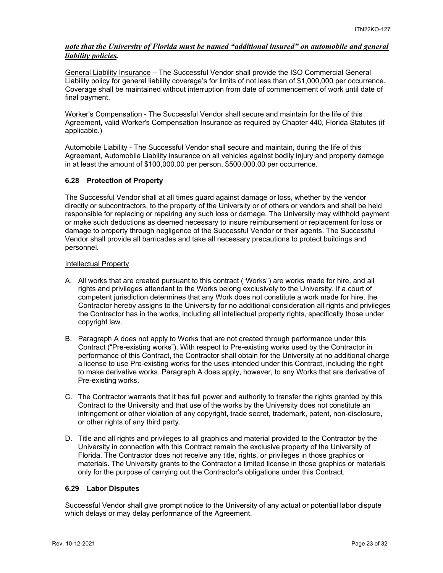# *note that the University of Florida must be named "additional insured" on automobile and general liability policies.*

General Liability Insurance – The Successful Vendor shall provide the ISO Commercial General Liability policy for general liability coverage's for limits of not less than of \$1,000,000 per occurrence. Coverage shall be maintained without interruption from date of commencement of work until date of final payment.

Worker's Compensation - The Successful Vendor shall secure and maintain for the life of this Agreement, valid Worker's Compensation Insurance as required by Chapter 440, Florida Statutes (if applicable.)

Automobile Liability - The Successful Vendor shall secure and maintain, during the life of this Agreement, Automobile Liability insurance on all vehicles against bodily injury and property damage in at least the amount of \$100,000.00 per person, \$500,000.00 per occurrence.

# <span id="page-22-0"></span>**6.28 Protection of Property**

The Successful Vendor shall at all times guard against damage or loss, whether by the vendor directly or subcontractors, to the property of the University or of others or vendors and shall be held responsible for replacing or repairing any such loss or damage. The University may withhold payment or make such deductions as deemed necessary to insure reimbursement or replacement for loss or damage to property through negligence of the Successful Vendor or their agents. The Successful Vendor shall provide all barricades and take all necessary precautions to protect buildings and personnel.

#### Intellectual Property

- A. All works that are created pursuant to this contract ("Works") are works made for hire, and all rights and privileges attendant to the Works belong exclusively to the University. If a court of competent jurisdiction determines that any Work does not constitute a work made for hire, the Contractor hereby assigns to the University for no additional consideration all rights and privileges the Contractor has in the works, including all intellectual property rights, specifically those under copyright law.
- B. Paragraph A does not apply to Works that are not created through performance under this Contract ("Pre-existing works"). With respect to Pre-existing works used by the Contractor in performance of this Contract, the Contractor shall obtain for the University at no additional charge a license to use Pre-existing works for the uses intended under this Contract, including the right to make derivative works. Paragraph A does apply, however, to any Works that are derivative of Pre-existing works.
- C. The Contractor warrants that it has full power and authority to transfer the rights granted by this Contract to the University and that use of the works by the University does not constitute an infringement or other violation of any copyright, trade secret, trademark, patent, non-disclosure, or other rights of any third party.
- D. Title and all rights and privileges to all graphics and material provided to the Contractor by the University in connection with this Contract remain the exclusive property of the University of Florida. The Contractor does not receive any title, rights, or privileges in those graphics or materials. The University grants to the Contractor a limited license in those graphics or materials only for the purpose of carrying out the Contractor's obligations under this Contract.

#### <span id="page-22-1"></span>**6.29 Labor Disputes**

Successful Vendor shall give prompt notice to the University of any actual or potential labor dispute which delays or may delay performance of the Agreement.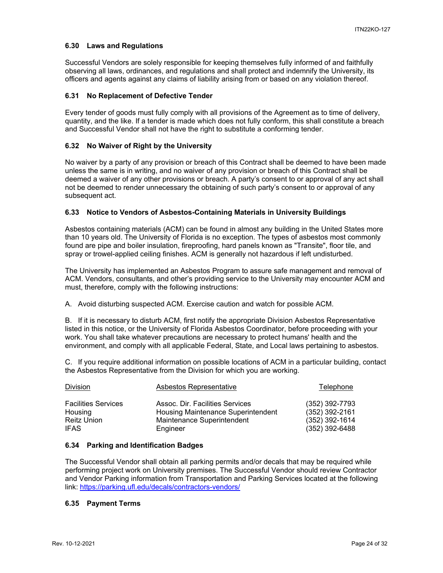#### <span id="page-23-0"></span>**6.30 Laws and Regulations**

Successful Vendors are solely responsible for keeping themselves fully informed of and faithfully observing all laws, ordinances, and regulations and shall protect and indemnify the University, its officers and agents against any claims of liability arising from or based on any violation thereof.

#### <span id="page-23-1"></span>**6.31 No Replacement of Defective Tender**

Every tender of goods must fully comply with all provisions of the Agreement as to time of delivery, quantity, and the like. If a tender is made which does not fully conform, this shall constitute a breach and Successful Vendor shall not have the right to substitute a conforming tender.

#### <span id="page-23-2"></span>**6.32 No Waiver of Right by the University**

No waiver by a party of any provision or breach of this Contract shall be deemed to have been made unless the same is in writing, and no waiver of any provision or breach of this Contract shall be deemed a waiver of any other provisions or breach. A party's consent to or approval of any act shall not be deemed to render unnecessary the obtaining of such party's consent to or approval of any subsequent act.

#### <span id="page-23-3"></span>**6.33 Notice to Vendors of Asbestos-Containing Materials in University Buildings**

Asbestos containing materials (ACM) can be found in almost any building in the United States more than 10 years old. The University of Florida is no exception. The types of asbestos most commonly found are pipe and boiler insulation, fireproofing, hard panels known as "Transite", floor tile, and spray or trowel-applied ceiling finishes. ACM is generally not hazardous if left undisturbed.

The University has implemented an Asbestos Program to assure safe management and removal of ACM. Vendors, consultants, and other's providing service to the University may encounter ACM and must, therefore, comply with the following instructions:

A. Avoid disturbing suspected ACM. Exercise caution and watch for possible ACM.

B. If it is necessary to disturb ACM, first notify the appropriate Division Asbestos Representative listed in this notice, or the University of Florida Asbestos Coordinator, before proceeding with your work. You shall take whatever precautions are necessary to protect humans' health and the environment, and comply with all applicable Federal, State, and Local laws pertaining to asbestos.

C. If you require additional information on possible locations of ACM in a particular building, contact the Asbestos Representative from the Division for which you are working.

| Division                   | Asbestos Representative            | Telephone        |
|----------------------------|------------------------------------|------------------|
| <b>Facilities Services</b> | Assoc. Dir. Facilities Services    | (352) 392-7793   |
| Housing                    | Housing Maintenance Superintendent | (352) 392-2161   |
| <b>Reitz Union</b>         | Maintenance Superintendent         | $(352)$ 392-1614 |
| <b>IFAS</b>                | Engineer                           | $(352)$ 392-6488 |

#### <span id="page-23-4"></span>**6.34 Parking and Identification Badges**

The Successful Vendor shall obtain all parking permits and/or decals that may be required while performing project work on University premises. The Successful Vendor should review Contractor and Vendor Parking information from Transportation and Parking Services located at the following link:<https://parking.ufl.edu/decals/contractors-vendors/>

#### <span id="page-23-5"></span>**6.35 Payment Terms**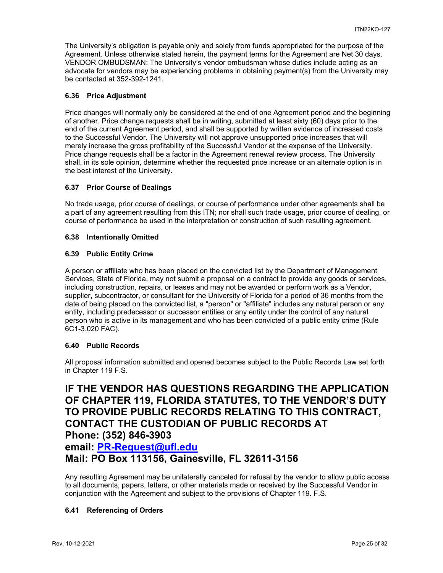The University's obligation is payable only and solely from funds appropriated for the purpose of the Agreement. Unless otherwise stated herein, the payment terms for the Agreement are Net 30 days. VENDOR OMBUDSMAN: The University's vendor ombudsman whose duties include acting as an advocate for vendors may be experiencing problems in obtaining payment(s) from the University may be contacted at 352-392-1241.

### <span id="page-24-0"></span>**6.36 Price Adjustment**

Price changes will normally only be considered at the end of one Agreement period and the beginning of another. Price change requests shall be in writing, submitted at least sixty (60) days prior to the end of the current Agreement period, and shall be supported by written evidence of increased costs to the Successful Vendor. The University will not approve unsupported price increases that will merely increase the gross profitability of the Successful Vendor at the expense of the University. Price change requests shall be a factor in the Agreement renewal review process. The University shall, in its sole opinion, determine whether the requested price increase or an alternate option is in the best interest of the University.

# <span id="page-24-1"></span>**6.37 Prior Course of Dealings**

No trade usage, prior course of dealings, or course of performance under other agreements shall be a part of any agreement resulting from this ITN; nor shall such trade usage, prior course of dealing, or course of performance be used in the interpretation or construction of such resulting agreement.

#### <span id="page-24-2"></span>**6.38 Intentionally Omitted**

# <span id="page-24-3"></span>**6.39 Public Entity Crime**

A person or affiliate who has been placed on the convicted list by the Department of Management Services, State of Florida, may not submit a proposal on a contract to provide any goods or services, including construction, repairs, or leases and may not be awarded or perform work as a Vendor, supplier, subcontractor, or consultant for the University of Florida for a period of 36 months from the date of being placed on the convicted list, a "person" or "affiliate" includes any natural person or any entity, including predecessor or successor entities or any entity under the control of any natural person who is active in its management and who has been convicted of a public entity crime (Rule 6C1-3.020 FAC).

#### <span id="page-24-4"></span>**6.40 Public Records**

All proposal information submitted and opened becomes subject to the Public Records Law set forth in Chapter 119 F.S.

# **IF THE VENDOR HAS QUESTIONS REGARDING THE APPLICATION OF CHAPTER 119, FLORIDA STATUTES, TO THE VENDOR'S DUTY TO PROVIDE PUBLIC RECORDS RELATING TO THIS CONTRACT, CONTACT THE CUSTODIAN OF PUBLIC RECORDS AT Phone: (352) 846-3903**

**email: [PR-Request@ufl.edu](mailto:PR-Request@ufl.edu)**

# **Mail: PO Box 113156, Gainesville, FL 32611-3156**

Any resulting Agreement may be unilaterally canceled for refusal by the vendor to allow public access to all documents, papers, letters, or other materials made or received by the Successful Vendor in conjunction with the Agreement and subject to the provisions of Chapter 119. F.S.

# <span id="page-24-5"></span>**6.41 Referencing of Orders**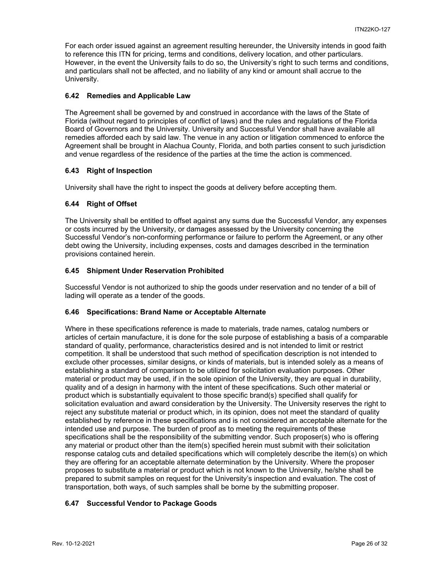For each order issued against an agreement resulting hereunder, the University intends in good faith to reference this ITN for pricing, terms and conditions, delivery location, and other particulars. However, in the event the University fails to do so, the University's right to such terms and conditions, and particulars shall not be affected, and no liability of any kind or amount shall accrue to the University.

### <span id="page-25-0"></span>**6.42 Remedies and Applicable Law**

The Agreement shall be governed by and construed in accordance with the laws of the State of Florida (without regard to principles of conflict of laws) and the rules and regulations of the Florida Board of Governors and the University. University and Successful Vendor shall have available all remedies afforded each by said law. The venue in any action or litigation commenced to enforce the Agreement shall be brought in Alachua County, Florida, and both parties consent to such jurisdiction and venue regardless of the residence of the parties at the time the action is commenced.

# <span id="page-25-1"></span>**6.43 Right of Inspection**

University shall have the right to inspect the goods at delivery before accepting them.

# <span id="page-25-2"></span>**6.44 Right of Offset**

The University shall be entitled to offset against any sums due the Successful Vendor, any expenses or costs incurred by the University, or damages assessed by the University concerning the Successful Vendor's non-conforming performance or failure to perform the Agreement, or any other debt owing the University, including expenses, costs and damages described in the termination provisions contained herein.

# <span id="page-25-3"></span>**6.45 Shipment Under Reservation Prohibited**

Successful Vendor is not authorized to ship the goods under reservation and no tender of a bill of lading will operate as a tender of the goods.

#### <span id="page-25-4"></span>**6.46 Specifications: Brand Name or Acceptable Alternate**

Where in these specifications reference is made to materials, trade names, catalog numbers or articles of certain manufacture, it is done for the sole purpose of establishing a basis of a comparable standard of quality, performance, characteristics desired and is not intended to limit or restrict competition. It shall be understood that such method of specification description is not intended to exclude other processes, similar designs, or kinds of materials, but is intended solely as a means of establishing a standard of comparison to be utilized for solicitation evaluation purposes. Other material or product may be used, if in the sole opinion of the University, they are equal in durability, quality and of a design in harmony with the intent of these specifications. Such other material or product which is substantially equivalent to those specific brand(s) specified shall qualify for solicitation evaluation and award consideration by the University. The University reserves the right to reject any substitute material or product which, in its opinion, does not meet the standard of quality established by reference in these specifications and is not considered an acceptable alternate for the intended use and purpose. The burden of proof as to meeting the requirements of these specifications shall be the responsibility of the submitting vendor. Such proposer(s) who is offering any material or product other than the item(s) specified herein must submit with their solicitation response catalog cuts and detailed specifications which will completely describe the item(s) on which they are offering for an acceptable alternate determination by the University. Where the proposer proposes to substitute a material or product which is not known to the University, he/she shall be prepared to submit samples on request for the University's inspection and evaluation. The cost of transportation, both ways, of such samples shall be borne by the submitting proposer.

# <span id="page-25-5"></span>**6.47 Successful Vendor to Package Goods**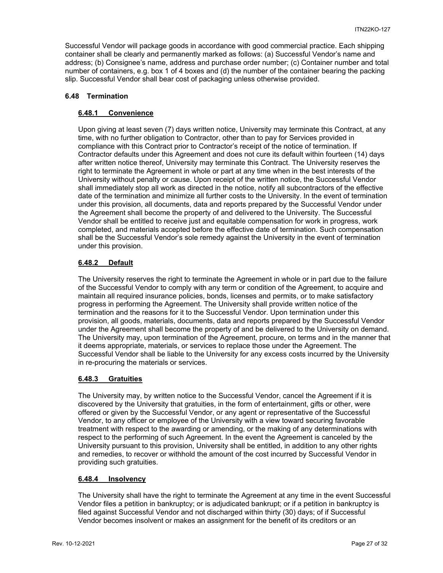Successful Vendor will package goods in accordance with good commercial practice. Each shipping container shall be clearly and permanently marked as follows: (a) Successful Vendor's name and address; (b) Consignee's name, address and purchase order number; (c) Container number and total number of containers, e.g. box 1 of 4 boxes and (d) the number of the container bearing the packing slip. Successful Vendor shall bear cost of packaging unless otherwise provided.

### <span id="page-26-1"></span><span id="page-26-0"></span>**6.48 Termination**

# **6.48.1 Convenience**

Upon giving at least seven (7) days written notice, University may terminate this Contract, at any time, with no further obligation to Contractor, other than to pay for Services provided in compliance with this Contract prior to Contractor's receipt of the notice of termination. If Contractor defaults under this Agreement and does not cure its default within fourteen (14) days after written notice thereof, University may terminate this Contract. The University reserves the right to terminate the Agreement in whole or part at any time when in the best interests of the University without penalty or cause. Upon receipt of the written notice, the Successful Vendor shall immediately stop all work as directed in the notice, notify all subcontractors of the effective date of the termination and minimize all further costs to the University. In the event of termination under this provision, all documents, data and reports prepared by the Successful Vendor under the Agreement shall become the property of and delivered to the University. The Successful Vendor shall be entitled to receive just and equitable compensation for work in progress, work completed, and materials accepted before the effective date of termination. Such compensation shall be the Successful Vendor's sole remedy against the University in the event of termination under this provision.

# <span id="page-26-2"></span>**6.48.2 Default**

The University reserves the right to terminate the Agreement in whole or in part due to the failure of the Successful Vendor to comply with any term or condition of the Agreement, to acquire and maintain all required insurance policies, bonds, licenses and permits, or to make satisfactory progress in performing the Agreement. The University shall provide written notice of the termination and the reasons for it to the Successful Vendor. Upon termination under this provision, all goods, materials, documents, data and reports prepared by the Successful Vendor under the Agreement shall become the property of and be delivered to the University on demand. The University may, upon termination of the Agreement, procure, on terms and in the manner that it deems appropriate, materials, or services to replace those under the Agreement. The Successful Vendor shall be liable to the University for any excess costs incurred by the University in re-procuring the materials or services.

#### <span id="page-26-3"></span>**6.48.3 Gratuities**

The University may, by written notice to the Successful Vendor, cancel the Agreement if it is discovered by the University that gratuities, in the form of entertainment, gifts or other, were offered or given by the Successful Vendor, or any agent or representative of the Successful Vendor, to any officer or employee of the University with a view toward securing favorable treatment with respect to the awarding or amending, or the making of any determinations with respect to the performing of such Agreement. In the event the Agreement is canceled by the University pursuant to this provision, University shall be entitled, in addition to any other rights and remedies, to recover or withhold the amount of the cost incurred by Successful Vendor in providing such gratuities.

#### <span id="page-26-4"></span>**6.48.4 Insolvency**

The University shall have the right to terminate the Agreement at any time in the event Successful Vendor files a petition in bankruptcy; or is adjudicated bankrupt; or if a petition in bankruptcy is filed against Successful Vendor and not discharged within thirty (30) days; of if Successful Vendor becomes insolvent or makes an assignment for the benefit of its creditors or an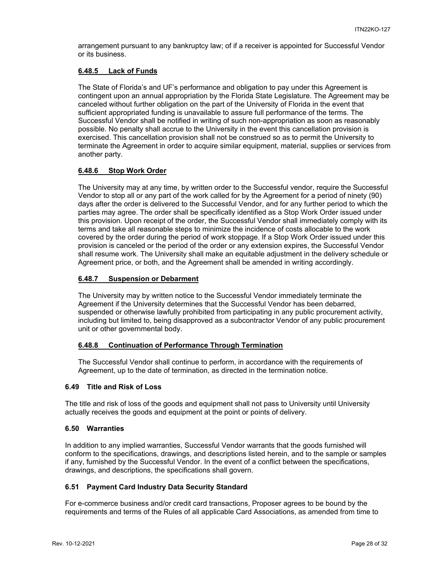arrangement pursuant to any bankruptcy law; of if a receiver is appointed for Successful Vendor or its business.

#### <span id="page-27-0"></span>**6.48.5 Lack of Funds**

The State of Florida's and UF's performance and obligation to pay under this Agreement is contingent upon an annual appropriation by the Florida State Legislature. The Agreement may be canceled without further obligation on the part of the University of Florida in the event that sufficient appropriated funding is unavailable to assure full performance of the terms. The Successful Vendor shall be notified in writing of such non-appropriation as soon as reasonably possible. No penalty shall accrue to the University in the event this cancellation provision is exercised. This cancellation provision shall not be construed so as to permit the University to terminate the Agreement in order to acquire similar equipment, material, supplies or services from another party.

# <span id="page-27-1"></span>**6.48.6 Stop Work Order**

The University may at any time, by written order to the Successful vendor, require the Successful Vendor to stop all or any part of the work called for by the Agreement for a period of ninety (90) days after the order is delivered to the Successful Vendor, and for any further period to which the parties may agree. The order shall be specifically identified as a Stop Work Order issued under this provision. Upon receipt of the order, the Successful Vendor shall immediately comply with its terms and take all reasonable steps to minimize the incidence of costs allocable to the work covered by the order during the period of work stoppage. If a Stop Work Order issued under this provision is canceled or the period of the order or any extension expires, the Successful Vendor shall resume work. The University shall make an equitable adjustment in the delivery schedule or Agreement price, or both, and the Agreement shall be amended in writing accordingly.

# <span id="page-27-2"></span>**6.48.7 Suspension or Debarment**

The University may by written notice to the Successful Vendor immediately terminate the Agreement if the University determines that the Successful Vendor has been debarred, suspended or otherwise lawfully prohibited from participating in any public procurement activity, including but limited to, being disapproved as a subcontractor Vendor of any public procurement unit or other governmental body.

#### <span id="page-27-3"></span>**6.48.8 Continuation of Performance Through Termination**

The Successful Vendor shall continue to perform, in accordance with the requirements of Agreement, up to the date of termination, as directed in the termination notice.

# <span id="page-27-4"></span>**6.49 Title and Risk of Loss**

The title and risk of loss of the goods and equipment shall not pass to University until University actually receives the goods and equipment at the point or points of delivery.

### <span id="page-27-5"></span>**6.50 Warranties**

In addition to any implied warranties, Successful Vendor warrants that the goods furnished will conform to the specifications, drawings, and descriptions listed herein, and to the sample or samples if any, furnished by the Successful Vendor. In the event of a conflict between the specifications, drawings, and descriptions, the specifications shall govern.

# <span id="page-27-6"></span>**6.51 Payment Card Industry Data Security Standard**

For e-commerce business and/or credit card transactions, Proposer agrees to be bound by the requirements and terms of the Rules of all applicable Card Associations, as amended from time to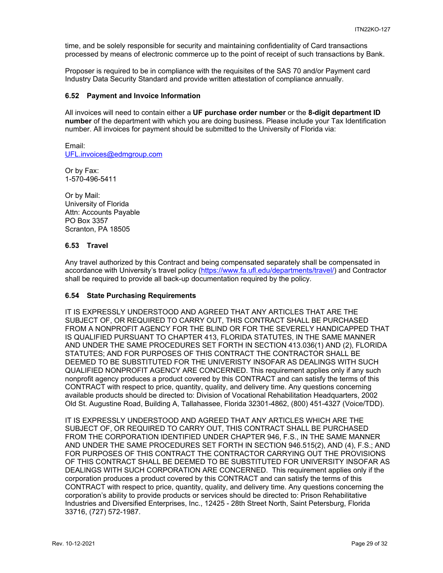time, and be solely responsible for security and maintaining confidentiality of Card transactions processed by means of electronic commerce up to the point of receipt of such transactions by Bank.

Proposer is required to be in compliance with the requisites of the SAS 70 and/or Payment card Industry Data Security Standard and provide written attestation of compliance annually.

#### <span id="page-28-0"></span>**6.52 Payment and Invoice Information**

All invoices will need to contain either a **UF purchase order number** or the **8-digit department ID number** of the department with which you are doing business. Please include your Tax Identification number. All invoices for payment should be submitted to the University of Florida via:

Email: [UFL.invoices@edmgroup.com](mailto:UFL.invoices@edmgroup.com)

Or by Fax: 1-570-496-5411

Or by Mail: University of Florida Attn: Accounts Payable PO Box 3357 Scranton, PA 18505

#### <span id="page-28-1"></span>**6.53 Travel**

Any travel authorized by this Contract and being compensated separately shall be compensated in accordance with University's travel policy [\(https://www.fa.ufl.edu/departments/travel/\)](https://www.fa.ufl.edu/departments/travel/) and Contractor shall be required to provide all back-up documentation required by the policy.

#### <span id="page-28-2"></span>**6.54 State Purchasing Requirements**

IT IS EXPRESSLY UNDERSTOOD AND AGREED THAT ANY ARTICLES THAT ARE THE SUBJECT OF, OR REQUIRED TO CARRY OUT, THIS CONTRACT SHALL BE PURCHASED FROM A NONPROFIT AGENCY FOR THE BLIND OR FOR THE SEVERELY HANDICAPPED THAT IS QUALIFIED PURSUANT TO CHAPTER 413, FLORIDA STATUTES, IN THE SAME MANNER AND UNDER THE SAME PROCEDURES SET FORTH IN SECTION 413.036(1) AND (2), FLORIDA STATUTES; AND FOR PURPOSES OF THIS CONTRACT THE CONTRACTOR SHALL BE DEEMED TO BE SUBSTITUTED FOR THE UNIVERISTY INSOFAR AS DEALINGS WITH SUCH QUALIFIED NONPROFIT AGENCY ARE CONCERNED. This requirement applies only if any such nonprofit agency produces a product covered by this CONTRACT and can satisfy the terms of this CONTRACT with respect to price, quantity, quality, and delivery time. Any questions concerning available products should be directed to: Division of Vocational Rehabilitation Headquarters, 2002 Old St. Augustine Road, Building A, Tallahassee, Florida 32301-4862, (800) 451-4327 (Voice/TDD).

IT IS EXPRESSLY UNDERSTOOD AND AGREED THAT ANY ARTICLES WHICH ARE THE SUBJECT OF, OR REQUIRED TO CARRY OUT, THIS CONTRACT SHALL BE PURCHASED FROM THE CORPORATION IDENTIFIED UNDER CHAPTER 946, F.S., IN THE SAME MANNER AND UNDER THE SAME PROCEDURES SET FORTH IN SECTION 946.515(2), AND (4), F.S.; AND FOR PURPOSES OF THIS CONTRACT THE CONTRACTOR CARRYING OUT THE PROVISIONS OF THIS CONTRACT SHALL BE DEEMED TO BE SUBSTITUTED FOR UNIVERSITY INSOFAR AS DEALINGS WITH SUCH CORPORATION ARE CONCERNED. This requirement applies only if the corporation produces a product covered by this CONTRACT and can satisfy the terms of this CONTRACT with respect to price, quantity, quality, and delivery time. Any questions concerning the corporation's ability to provide products or services should be directed to: Prison Rehabilitative Industries and Diversified Enterprises, Inc., 12425 - 28th Street North, Saint Petersburg, Florida 33716, (727) 572-1987.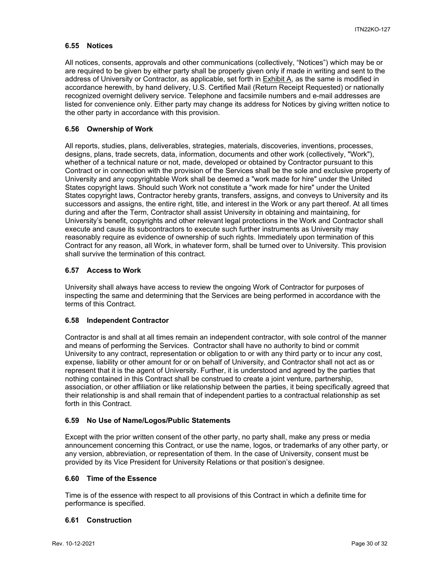#### <span id="page-29-0"></span>**6.55 Notices**

All notices, consents, approvals and other communications (collectively, "Notices") which may be or are required to be given by either party shall be properly given only if made in writing and sent to the address of University or Contractor, as applicable, set forth in Exhibit A, as the same is modified in accordance herewith, by hand delivery, U.S. Certified Mail (Return Receipt Requested) or nationally recognized overnight delivery service. Telephone and facsimile numbers and e-mail addresses are listed for convenience only. Either party may change its address for Notices by giving written notice to the other party in accordance with this provision.

#### <span id="page-29-1"></span>**6.56 Ownership of Work**

All reports, studies, plans, deliverables, strategies, materials, discoveries, inventions, processes, designs, plans, trade secrets, data, information, documents and other work (collectively, "Work"), whether of a technical nature or not, made, developed or obtained by Contractor pursuant to this Contract or in connection with the provision of the Services shall be the sole and exclusive property of University and any copyrightable Work shall be deemed a "work made for hire" under the United States copyright laws. Should such Work not constitute a "work made for hire" under the United States copyright laws, Contractor hereby grants, transfers, assigns, and conveys to University and its successors and assigns, the entire right, title, and interest in the Work or any part thereof. At all times during and after the Term, Contractor shall assist University in obtaining and maintaining, for University's benefit, copyrights and other relevant legal protections in the Work and Contractor shall execute and cause its subcontractors to execute such further instruments as University may reasonably require as evidence of ownership of such rights. Immediately upon termination of this Contract for any reason, all Work, in whatever form, shall be turned over to University. This provision shall survive the termination of this contract.

#### <span id="page-29-2"></span>**6.57 Access to Work**

University shall always have access to review the ongoing Work of Contractor for purposes of inspecting the same and determining that the Services are being performed in accordance with the terms of this Contract.

#### <span id="page-29-3"></span>**6.58 Independent Contractor**

Contractor is and shall at all times remain an independent contractor, with sole control of the manner and means of performing the Services. Contractor shall have no authority to bind or commit University to any contract, representation or obligation to or with any third party or to incur any cost, expense, liability or other amount for or on behalf of University, and Contractor shall not act as or represent that it is the agent of University. Further, it is understood and agreed by the parties that nothing contained in this Contract shall be construed to create a joint venture, partnership, association, or other affiliation or like relationship between the parties, it being specifically agreed that their relationship is and shall remain that of independent parties to a contractual relationship as set forth in this Contract.

#### <span id="page-29-4"></span>**6.59 No Use of Name/Logos/Public Statements**

Except with the prior written consent of the other party, no party shall, make any press or media announcement concerning this Contract, or use the name, logos, or trademarks of any other party, or any version, abbreviation, or representation of them. In the case of University, consent must be provided by its Vice President for University Relations or that position's designee.

#### <span id="page-29-5"></span>**6.60 Time of the Essence**

Time is of the essence with respect to all provisions of this Contract in which a definite time for performance is specified.

#### <span id="page-29-6"></span>**6.61 Construction**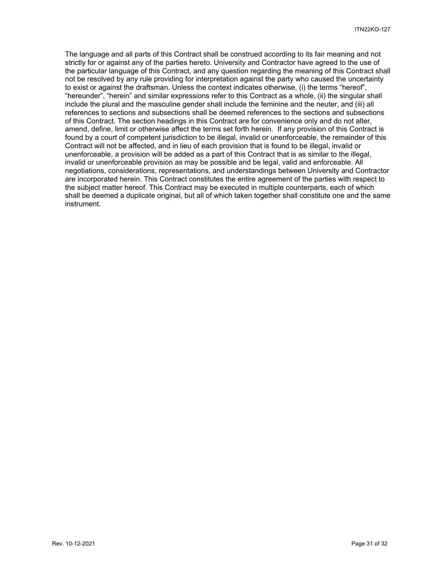The language and all parts of this Contract shall be construed according to its fair meaning and not strictly for or against any of the parties hereto. University and Contractor have agreed to the use of the particular language of this Contract, and any question regarding the meaning of this Contract shall not be resolved by any rule providing for interpretation against the party who caused the uncertainty to exist or against the draftsman. Unless the context indicates otherwise, (i) the terms "hereof", "hereunder", "herein" and similar expressions refer to this Contract as a whole, (ii) the singular shall include the plural and the masculine gender shall include the feminine and the neuter, and (iii) all references to sections and subsections shall be deemed references to the sections and subsections of this Contract. The section headings in this Contract are for convenience only and do not alter, amend, define, limit or otherwise affect the terms set forth herein. If any provision of this Contract is found by a court of competent jurisdiction to be illegal, invalid or unenforceable, the remainder of this Contract will not be affected, and in lieu of each provision that is found to be illegal, invalid or unenforceable, a provision will be added as a part of this Contract that is as similar to the illegal, invalid or unenforceable provision as may be possible and be legal, valid and enforceable. All negotiations, considerations, representations, and understandings between University and Contractor are incorporated herein. This Contract constitutes the entire agreement of the parties with respect to the subject matter hereof. This Contract may be executed in multiple counterparts, each of which shall be deemed a duplicate original, but all of which taken together shall constitute one and the same instrument.